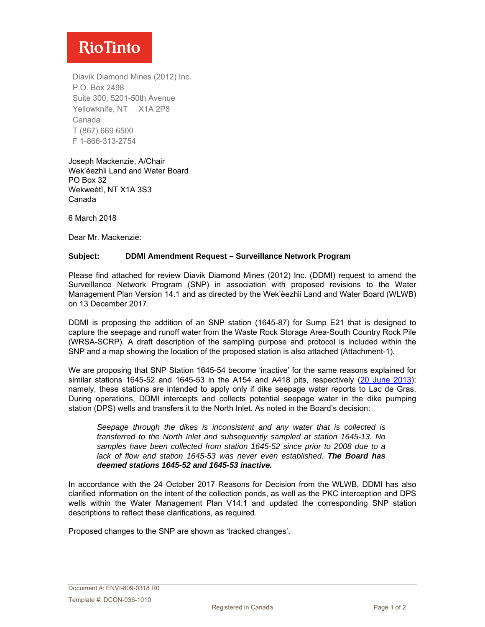# **RioTinto**

Diavik Diamond Mines (2012) Inc. P.O. Box 2498 Suite 300, 5201-50th Avenue Yellowknife, NT X1A 2P8 Canada T (867) 669 6500 F 1-866-313-2754

Joseph Mackenzie, A/Chair Wek'èezhὶi Land and Water Board PO Box 32 Wekweètì, NT X1A 3S3 Canada

6 March 2018

Dear Mr. Mackenzie:

#### **Subject: DDMI Amendment Request – Surveillance Network Program**

Please find attached for review Diavik Diamond Mines (2012) Inc. (DDMI) request to amend the Surveillance Network Program (SNP) in association with proposed revisions to the Water Management Plan Version 14.1 and as directed by the Wek'èezhὶi Land and Water Board (WLWB) on 13 December 2017.

DDMI is proposing the addition of an SNP station (1645-87) for Sump E21 that is designed to capture the seepage and runoff water from the Waste Rock Storage Area-South Country Rock Pile (WRSA-SCRP). A draft description of the sampling purpose and protocol is included within the SNP and a map showing the location of the proposed station is also attached (Attachment-1).

We are proposing that SNP Station 1645-54 become 'inactive' for the same reasons explained for similar stations 1645-52 and 1645-53 in the A154 and A418 pits, respectively [\(20 June 2013\)](http://registry.mvlwb.ca/Documents/W2007L2-0003/W2007L2-0003%20-%20Diavik%20-%20Proposed%20Changes%20to%20Surveillance%20Network%20Program%20-%20Jun%2020_13.pdf); namely, these stations are intended to apply only if dike seepage water reports to Lac de Gras. During operations, DDMI intercepts and collects potential seepage water in the dike pumping station (DPS) wells and transfers it to the North Inlet. As noted in the Board's decision:

*Seepage through the dikes is inconsistent and any water that is collected is transferred to the North Inlet and subsequently sampled at station 1645-13. No samples have been collected from station 1645-52 since prior to 2008 due to a lack of flow and station 1645-53 was never even established. The Board has deemed stations 1645-52 and 1645-53 inactive.*

In accordance with the 24 October 2017 Reasons for Decision from the WLWB, DDMI has also clarified information on the intent of the collection ponds, as well as the PKC interception and DPS wells within the Water Management Plan V14.1 and updated the corresponding SNP station descriptions to reflect these clarifications, as required.

Proposed changes to the SNP are shown as 'tracked changes'.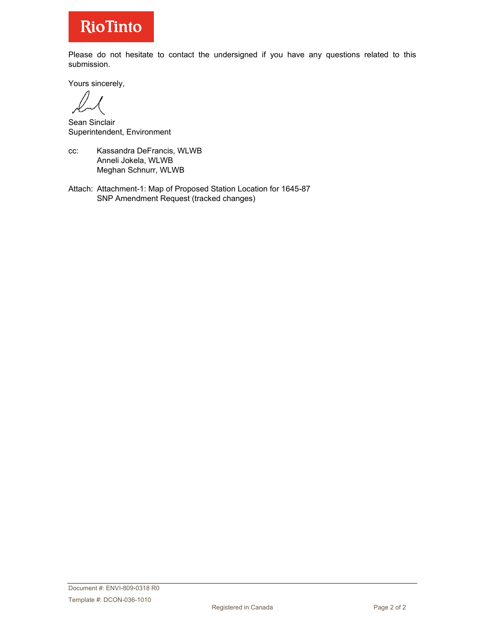# **RioTinto**

Please do not hesitate to contact the undersigned if you have any questions related to this submission.

Yours sincerely,

Sean Sinclair Superintendent, Environment

- cc: Kassandra DeFrancis, WLWB Anneli Jokela, WLWB Meghan Schnurr, WLWB
- Attach: Attachment-1: Map of Proposed Station Location for 1645-87 SNP Amendment Request (tracked changes)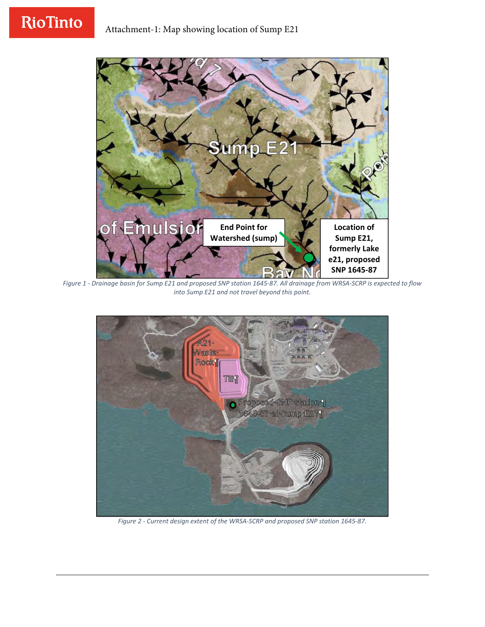# **RioTinto**



Figure 1 - Drainage basin for Sump E21 and proposed SNP station 1645-87. All drainage from WRSA-SCRP is expected to flow *into Sump E21 and not travel beyond this point.*



*Figure 2 ‐ Current design extent of the WRSA‐SCRP and proposed SNP station 1645‐87.*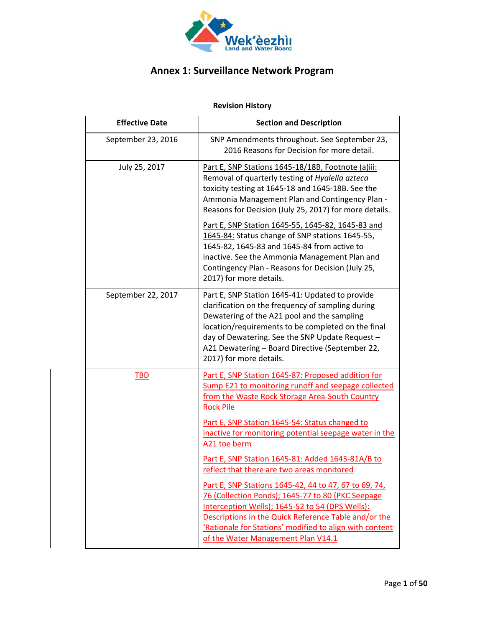

# **Annex 1: Surveillance Network Program**

# **Revision History**

| <b>Effective Date</b> | <b>Section and Description</b>                                                                                                                                                                                                                                                                                                             |
|-----------------------|--------------------------------------------------------------------------------------------------------------------------------------------------------------------------------------------------------------------------------------------------------------------------------------------------------------------------------------------|
| September 23, 2016    | SNP Amendments throughout. See September 23,<br>2016 Reasons for Decision for more detail.                                                                                                                                                                                                                                                 |
| July 25, 2017         | Part E, SNP Stations 1645-18/18B, Footnote (a)iii:<br>Removal of quarterly testing of Hyalella azteca<br>toxicity testing at 1645-18 and 1645-18B. See the<br>Ammonia Management Plan and Contingency Plan -<br>Reasons for Decision (July 25, 2017) for more details.                                                                     |
|                       | Part E, SNP Station 1645-55, 1645-82, 1645-83 and<br>1645-84: Status change of SNP stations 1645-55,<br>1645-82, 1645-83 and 1645-84 from active to<br>inactive. See the Ammonia Management Plan and<br>Contingency Plan - Reasons for Decision (July 25,<br>2017) for more details.                                                       |
| September 22, 2017    | Part E, SNP Station 1645-41: Updated to provide<br>clarification on the frequency of sampling during<br>Dewatering of the A21 pool and the sampling<br>location/requirements to be completed on the final<br>day of Dewatering. See the SNP Update Request -<br>A21 Dewatering - Board Directive (September 22,<br>2017) for more details. |
| <b>TBD</b>            | Part E, SNP Station 1645-87: Proposed addition for<br>Sump E21 to monitoring runoff and seepage collected<br>from the Waste Rock Storage Area-South Country<br><b>Rock Pile</b>                                                                                                                                                            |
|                       | Part E, SNP Station 1645-54: Status changed to<br>inactive for monitoring potential seepage water in the<br>A <sub>21</sub> toe berm                                                                                                                                                                                                       |
|                       | Part E, SNP Station 1645-81: Added 1645-81A/B to<br>reflect that there are two areas monitored                                                                                                                                                                                                                                             |
|                       | Part E, SNP Stations 1645-42, 44 to 47, 67 to 69, 74,<br>76 (Collection Ponds); 1645-77 to 80 (PKC Seepage<br>Interception Wells); 1645-52 to 54 (DPS Wells):<br>Descriptions in the Quick Reference Table and/or the<br>'Rationale for Stations' modified to align with content<br>of the Water Management Plan V14.1                     |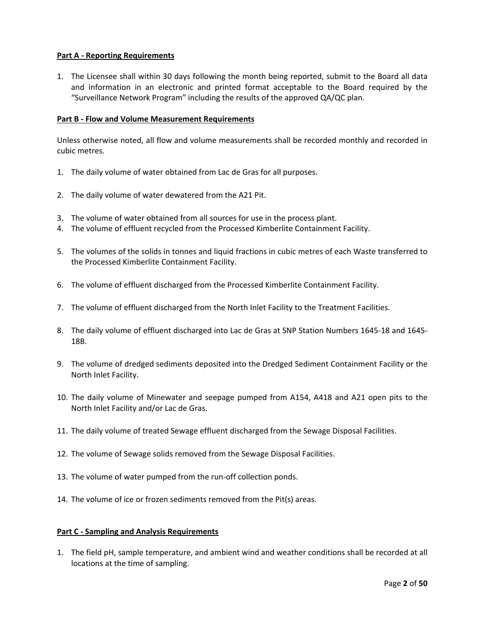#### **Part A ‐ Reporting Requirements**

1. The Licensee shall within 30 days following the month being reported, submit to the Board all data and information in an electronic and printed format acceptable to the Board required by the "Surveillance Network Program" including the results of the approved QA/QC plan.

#### **Part B ‐ Flow and Volume Measurement Requirements**

Unless otherwise noted, all flow and volume measurements shall be recorded monthly and recorded in cubic metres.

- 1. The daily volume of water obtained from Lac de Gras for all purposes.
- 2. The daily volume of water dewatered from the A21 Pit.
- 3. The volume of water obtained from all sources for use in the process plant.
- 4. The volume of effluent recycled from the Processed Kimberlite Containment Facility.
- 5. The volumes of the solids in tonnes and liquid fractions in cubic metres of each Waste transferred to the Processed Kimberlite Containment Facility.
- 6. The volume of effluent discharged from the Processed Kimberlite Containment Facility.
- 7. The volume of effluent discharged from the North Inlet Facility to the Treatment Facilities.
- 8. The daily volume of effluent discharged into Lac de Gras at SNP Station Numbers 1645‐18 and 1645‐ 18B.
- 9. The volume of dredged sediments deposited into the Dredged Sediment Containment Facility or the North Inlet Facility.
- 10. The daily volume of Minewater and seepage pumped from A154, A418 and A21 open pits to the North Inlet Facility and/or Lac de Gras.
- 11. The daily volume of treated Sewage effluent discharged from the Sewage Disposal Facilities.
- 12. The volume of Sewage solids removed from the Sewage Disposal Facilities.
- 13. The volume of water pumped from the run‐off collection ponds.
- 14. The volume of ice or frozen sediments removed from the Pit(s) areas.

#### **Part C ‐ Sampling and Analysis Requirements**

1. The field pH, sample temperature, and ambient wind and weather conditions shall be recorded at all locations at the time of sampling.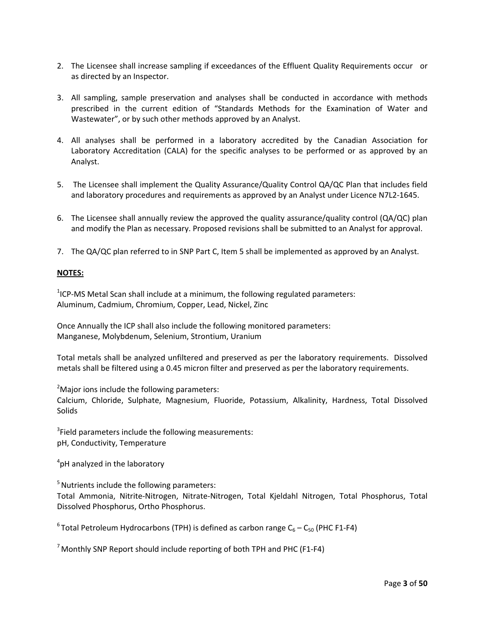- 2. The Licensee shall increase sampling if exceedances of the Effluent Quality Requirements occur or as directed by an Inspector.
- 3. All sampling, sample preservation and analyses shall be conducted in accordance with methods prescribed in the current edition of "Standards Methods for the Examination of Water and Wastewater", or by such other methods approved by an Analyst.
- 4. All analyses shall be performed in a laboratory accredited by the Canadian Association for Laboratory Accreditation (CALA) for the specific analyses to be performed or as approved by an Analyst.
- 5. The Licensee shall implement the Quality Assurance/Quality Control QA/QC Plan that includes field and laboratory procedures and requirements as approved by an Analyst under Licence N7L2‐1645.
- 6. The Licensee shall annually review the approved the quality assurance/quality control (QA/QC) plan and modify the Plan as necessary. Proposed revisions shall be submitted to an Analyst for approval.
- 7. The QA/QC plan referred to in SNP Part C, Item 5 shall be implemented as approved by an Analyst.

#### **NOTES:**

 $1$ ICP-MS Metal Scan shall include at a minimum, the following regulated parameters: Aluminum, Cadmium, Chromium, Copper, Lead, Nickel, Zinc

Once Annually the ICP shall also include the following monitored parameters: Manganese, Molybdenum, Selenium, Strontium, Uranium

Total metals shall be analyzed unfiltered and preserved as per the laboratory requirements. Dissolved metals shall be filtered using a 0.45 micron filter and preserved as per the laboratory requirements.

 $2$ Major ions include the following parameters:

Calcium, Chloride, Sulphate, Magnesium, Fluoride, Potassium, Alkalinity, Hardness, Total Dissolved **Solids** 

 $3$ Field parameters include the following measurements: pH, Conductivity, Temperature

4 pH analyzed in the laboratory

<sup>5</sup> Nutrients include the following parameters:

Total Ammonia, Nitrite‐Nitrogen, Nitrate‐Nitrogen, Total Kjeldahl Nitrogen, Total Phosphorus, Total Dissolved Phosphorus, Ortho Phosphorus.

 $6$ Total Petroleum Hydrocarbons (TPH) is defined as carbon range  $C_6 - C_{50}$  (PHC F1-F4)

 $7$  Monthly SNP Report should include reporting of both TPH and PHC (F1-F4)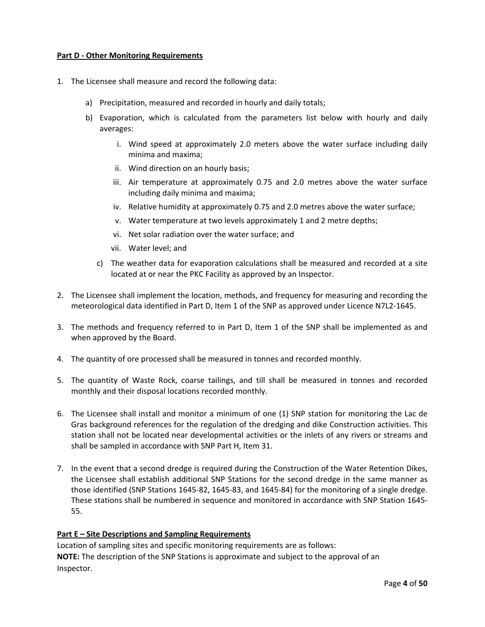#### **Part D ‐ Other Monitoring Requirements**

- 1. The Licensee shall measure and record the following data:
	- a) Precipitation, measured and recorded in hourly and daily totals;
	- b) Evaporation, which is calculated from the parameters list below with hourly and daily averages:
		- i. Wind speed at approximately 2.0 meters above the water surface including daily minima and maxima;
		- ii. Wind direction on an hourly basis;
		- iii. Air temperature at approximately 0.75 and 2.0 metres above the water surface including daily minima and maxima;
		- iv. Relative humidity at approximately 0.75 and 2.0 metres above the water surface;
		- v. Water temperature at two levels approximately 1 and 2 metre depths;
		- vi. Net solar radiation over the water surface; and
		- vii. Water level; and
		- c) The weather data for evaporation calculations shall be measured and recorded at a site located at or near the PKC Facility as approved by an Inspector.
- 2. The Licensee shall implement the location, methods, and frequency for measuring and recording the meteorological data identified in Part D, Item 1 of the SNP as approved under Licence N7L2‐1645.
- 3. The methods and frequency referred to in Part D, Item 1 of the SNP shall be implemented as and when approved by the Board.
- 4. The quantity of ore processed shall be measured in tonnes and recorded monthly.
- 5. The quantity of Waste Rock, coarse tailings, and till shall be measured in tonnes and recorded monthly and their disposal locations recorded monthly.
- 6. The Licensee shall install and monitor a minimum of one (1) SNP station for monitoring the Lac de Gras background references for the regulation of the dredging and dike Construction activities. This station shall not be located near developmental activities or the inlets of any rivers or streams and shall be sampled in accordance with SNP Part H, Item 31.
- 7. In the event that a second dredge is required during the Construction of the Water Retention Dikes, the Licensee shall establish additional SNP Stations for the second dredge in the same manner as those identified (SNP Stations 1645‐82, 1645‐83, and 1645‐84) for the monitoring of a single dredge. These stations shall be numbered in sequence and monitored in accordance with SNP Station 1645‐ 55.

#### **Part E – Site Descriptions and Sampling Requirements**

Location of sampling sites and specific monitoring requirements are as follows: **NOTE:** The description of the SNP Stations is approximate and subject to the approval of an Inspector.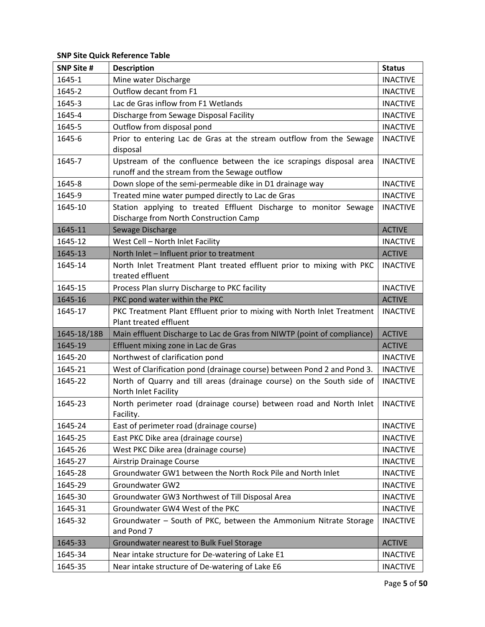| <b>SNP Site #</b> | <b>Description</b>                                                                                                  | <b>Status</b>   |
|-------------------|---------------------------------------------------------------------------------------------------------------------|-----------------|
| 1645-1            | Mine water Discharge                                                                                                | <b>INACTIVE</b> |
| 1645-2            | Outflow decant from F1                                                                                              | <b>INACTIVE</b> |
| 1645-3            | Lac de Gras inflow from F1 Wetlands                                                                                 | <b>INACTIVE</b> |
| 1645-4            | Discharge from Sewage Disposal Facility                                                                             | <b>INACTIVE</b> |
| 1645-5            | Outflow from disposal pond                                                                                          | <b>INACTIVE</b> |
| 1645-6            | Prior to entering Lac de Gras at the stream outflow from the Sewage<br>disposal                                     | <b>INACTIVE</b> |
| 1645-7            | Upstream of the confluence between the ice scrapings disposal area<br>runoff and the stream from the Sewage outflow | <b>INACTIVE</b> |
| 1645-8            | Down slope of the semi-permeable dike in D1 drainage way                                                            | <b>INACTIVE</b> |
| 1645-9            | Treated mine water pumped directly to Lac de Gras                                                                   | <b>INACTIVE</b> |
| 1645-10           | Station applying to treated Effluent Discharge to monitor Sewage<br>Discharge from North Construction Camp          | <b>INACTIVE</b> |
| 1645-11           | Sewage Discharge                                                                                                    | <b>ACTIVE</b>   |
| 1645-12           | West Cell - North Inlet Facility                                                                                    | <b>INACTIVE</b> |
| 1645-13           | North Inlet - Influent prior to treatment                                                                           | <b>ACTIVE</b>   |
| 1645-14           | North Inlet Treatment Plant treated effluent prior to mixing with PKC<br>treated effluent                           | <b>INACTIVE</b> |
| 1645-15           | Process Plan slurry Discharge to PKC facility                                                                       | <b>INACTIVE</b> |
| 1645-16           | PKC pond water within the PKC                                                                                       | <b>ACTIVE</b>   |
| 1645-17           | PKC Treatment Plant Effluent prior to mixing with North Inlet Treatment<br>Plant treated effluent                   | <b>INACTIVE</b> |
| 1645-18/18B       | Main effluent Discharge to Lac de Gras from NIWTP (point of compliance)                                             | <b>ACTIVE</b>   |
| 1645-19           | Effluent mixing zone in Lac de Gras                                                                                 | <b>ACTIVE</b>   |
| 1645-20           | Northwest of clarification pond                                                                                     | <b>INACTIVE</b> |
| 1645-21           | West of Clarification pond (drainage course) between Pond 2 and Pond 3.                                             | <b>INACTIVE</b> |
| 1645-22           | North of Quarry and till areas (drainage course) on the South side of<br>North Inlet Facility                       | <b>INACTIVE</b> |
| 1645-23           | North perimeter road (drainage course) between road and North Inlet<br>Facility.                                    | <b>INACTIVE</b> |
| 1645-24           | East of perimeter road (drainage course)                                                                            | <b>INACTIVE</b> |
| 1645-25           | East PKC Dike area (drainage course)                                                                                | <b>INACTIVE</b> |
| 1645-26           | West PKC Dike area (drainage course)                                                                                | <b>INACTIVE</b> |
| 1645-27           | Airstrip Drainage Course                                                                                            | <b>INACTIVE</b> |
| 1645-28           | Groundwater GW1 between the North Rock Pile and North Inlet                                                         | <b>INACTIVE</b> |
| 1645-29           | Groundwater GW2                                                                                                     | <b>INACTIVE</b> |
| 1645-30           | Groundwater GW3 Northwest of Till Disposal Area                                                                     | <b>INACTIVE</b> |
| 1645-31           | Groundwater GW4 West of the PKC                                                                                     | <b>INACTIVE</b> |
| 1645-32           | Groundwater - South of PKC, between the Ammonium Nitrate Storage<br>and Pond 7                                      | <b>INACTIVE</b> |
| 1645-33           | Groundwater nearest to Bulk Fuel Storage                                                                            | <b>ACTIVE</b>   |
| 1645-34           | Near intake structure for De-watering of Lake E1                                                                    | <b>INACTIVE</b> |
| 1645-35           | Near intake structure of De-watering of Lake E6                                                                     | <b>INACTIVE</b> |

**SNP Site Quick Reference Table**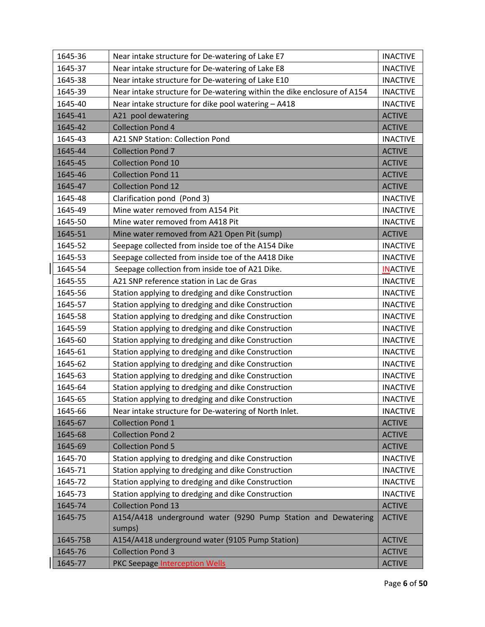| Near intake structure for De-watering of Lake E8<br>1645-37<br><b>INACTIVE</b><br>Near intake structure for De-watering of Lake E10<br>1645-38<br><b>INACTIVE</b><br>1645-39<br>Near intake structure for De-watering within the dike enclosure of A154<br><b>INACTIVE</b><br>Near intake structure for dike pool watering - A418<br>1645-40<br><b>INACTIVE</b><br>1645-41<br>A21 pool dewatering<br><b>ACTIVE</b><br><b>Collection Pond 4</b><br>1645-42<br><b>ACTIVE</b><br>1645-43<br><b>A21 SNP Station: Collection Pond</b><br><b>INACTIVE</b><br><b>Collection Pond 7</b><br>1645-44<br><b>ACTIVE</b><br>1645-45<br><b>Collection Pond 10</b><br><b>ACTIVE</b><br>1645-46<br><b>Collection Pond 11</b><br><b>ACTIVE</b><br>1645-47<br><b>Collection Pond 12</b><br><b>ACTIVE</b><br>1645-48<br>Clarification pond (Pond 3)<br><b>INACTIVE</b><br>1645-49<br>Mine water removed from A154 Pit<br><b>INACTIVE</b><br>1645-50<br>Mine water removed from A418 Pit<br><b>INACTIVE</b><br>1645-51<br>Mine water removed from A21 Open Pit (sump)<br><b>ACTIVE</b><br>Seepage collected from inside toe of the A154 Dike<br>1645-52<br><b>INACTIVE</b><br>Seepage collected from inside toe of the A418 Dike<br><b>INACTIVE</b><br>1645-53<br>1645-54<br>Seepage collection from inside toe of A21 Dike.<br><b>INACTIVE</b><br>A21 SNP reference station in Lac de Gras<br><b>INACTIVE</b><br>1645-55<br>1645-56<br>Station applying to dredging and dike Construction<br><b>INACTIVE</b><br>Station applying to dredging and dike Construction<br>1645-57<br><b>INACTIVE</b><br>Station applying to dredging and dike Construction<br>1645-58<br><b>INACTIVE</b><br>1645-59<br>Station applying to dredging and dike Construction<br><b>INACTIVE</b><br>1645-60<br>Station applying to dredging and dike Construction<br><b>INACTIVE</b><br>Station applying to dredging and dike Construction<br>1645-61<br><b>INACTIVE</b><br>Station applying to dredging and dike Construction<br>1645-62<br><b>INACTIVE</b><br>Station applying to dredging and dike Construction<br><b>INACTIVE</b><br>1645-63<br>Station applying to dredging and dike Construction<br>1645-64<br><b>INACTIVE</b><br>Station applying to dredging and dike Construction<br>1645-65<br><b>INACTIVE</b><br>Near intake structure for De-watering of North Inlet.<br><b>INACTIVE</b><br>1645-66<br><b>Collection Pond 1</b><br><b>ACTIVE</b><br>1645-67<br><b>Collection Pond 2</b><br>1645-68<br><b>ACTIVE</b><br><b>Collection Pond 5</b><br>1645-69<br><b>ACTIVE</b><br>Station applying to dredging and dike Construction<br>1645-70<br><b>INACTIVE</b><br>Station applying to dredging and dike Construction<br>1645-71<br><b>INACTIVE</b><br>Station applying to dredging and dike Construction<br>1645-72<br><b>INACTIVE</b><br>Station applying to dredging and dike Construction<br><b>INACTIVE</b><br>1645-73<br><b>Collection Pond 13</b><br>1645-74<br><b>ACTIVE</b><br>A154/A418 underground water (9290 Pump Station and Dewatering<br>1645-75<br><b>ACTIVE</b><br>sumps)<br>A154/A418 underground water (9105 Pump Station)<br><b>ACTIVE</b><br>1645-75B<br><b>Collection Pond 3</b><br><b>ACTIVE</b><br>1645-76 | 1645-36 | Near intake structure for De-watering of Lake E7 | <b>INACTIVE</b> |
|------------------------------------------------------------------------------------------------------------------------------------------------------------------------------------------------------------------------------------------------------------------------------------------------------------------------------------------------------------------------------------------------------------------------------------------------------------------------------------------------------------------------------------------------------------------------------------------------------------------------------------------------------------------------------------------------------------------------------------------------------------------------------------------------------------------------------------------------------------------------------------------------------------------------------------------------------------------------------------------------------------------------------------------------------------------------------------------------------------------------------------------------------------------------------------------------------------------------------------------------------------------------------------------------------------------------------------------------------------------------------------------------------------------------------------------------------------------------------------------------------------------------------------------------------------------------------------------------------------------------------------------------------------------------------------------------------------------------------------------------------------------------------------------------------------------------------------------------------------------------------------------------------------------------------------------------------------------------------------------------------------------------------------------------------------------------------------------------------------------------------------------------------------------------------------------------------------------------------------------------------------------------------------------------------------------------------------------------------------------------------------------------------------------------------------------------------------------------------------------------------------------------------------------------------------------------------------------------------------------------------------------------------------------------------------------------------------------------------------------------------------------------------------------------------------------------------------------------------------------------------------------------------------------------------------------------------------------------------------------------------------------------------------------------------------------------------------------------------------------------------------------------------------------------------------------------------|---------|--------------------------------------------------|-----------------|
|                                                                                                                                                                                                                                                                                                                                                                                                                                                                                                                                                                                                                                                                                                                                                                                                                                                                                                                                                                                                                                                                                                                                                                                                                                                                                                                                                                                                                                                                                                                                                                                                                                                                                                                                                                                                                                                                                                                                                                                                                                                                                                                                                                                                                                                                                                                                                                                                                                                                                                                                                                                                                                                                                                                                                                                                                                                                                                                                                                                                                                                                                                                                                                                                      |         |                                                  |                 |
|                                                                                                                                                                                                                                                                                                                                                                                                                                                                                                                                                                                                                                                                                                                                                                                                                                                                                                                                                                                                                                                                                                                                                                                                                                                                                                                                                                                                                                                                                                                                                                                                                                                                                                                                                                                                                                                                                                                                                                                                                                                                                                                                                                                                                                                                                                                                                                                                                                                                                                                                                                                                                                                                                                                                                                                                                                                                                                                                                                                                                                                                                                                                                                                                      |         |                                                  |                 |
|                                                                                                                                                                                                                                                                                                                                                                                                                                                                                                                                                                                                                                                                                                                                                                                                                                                                                                                                                                                                                                                                                                                                                                                                                                                                                                                                                                                                                                                                                                                                                                                                                                                                                                                                                                                                                                                                                                                                                                                                                                                                                                                                                                                                                                                                                                                                                                                                                                                                                                                                                                                                                                                                                                                                                                                                                                                                                                                                                                                                                                                                                                                                                                                                      |         |                                                  |                 |
|                                                                                                                                                                                                                                                                                                                                                                                                                                                                                                                                                                                                                                                                                                                                                                                                                                                                                                                                                                                                                                                                                                                                                                                                                                                                                                                                                                                                                                                                                                                                                                                                                                                                                                                                                                                                                                                                                                                                                                                                                                                                                                                                                                                                                                                                                                                                                                                                                                                                                                                                                                                                                                                                                                                                                                                                                                                                                                                                                                                                                                                                                                                                                                                                      |         |                                                  |                 |
|                                                                                                                                                                                                                                                                                                                                                                                                                                                                                                                                                                                                                                                                                                                                                                                                                                                                                                                                                                                                                                                                                                                                                                                                                                                                                                                                                                                                                                                                                                                                                                                                                                                                                                                                                                                                                                                                                                                                                                                                                                                                                                                                                                                                                                                                                                                                                                                                                                                                                                                                                                                                                                                                                                                                                                                                                                                                                                                                                                                                                                                                                                                                                                                                      |         |                                                  |                 |
|                                                                                                                                                                                                                                                                                                                                                                                                                                                                                                                                                                                                                                                                                                                                                                                                                                                                                                                                                                                                                                                                                                                                                                                                                                                                                                                                                                                                                                                                                                                                                                                                                                                                                                                                                                                                                                                                                                                                                                                                                                                                                                                                                                                                                                                                                                                                                                                                                                                                                                                                                                                                                                                                                                                                                                                                                                                                                                                                                                                                                                                                                                                                                                                                      |         |                                                  |                 |
|                                                                                                                                                                                                                                                                                                                                                                                                                                                                                                                                                                                                                                                                                                                                                                                                                                                                                                                                                                                                                                                                                                                                                                                                                                                                                                                                                                                                                                                                                                                                                                                                                                                                                                                                                                                                                                                                                                                                                                                                                                                                                                                                                                                                                                                                                                                                                                                                                                                                                                                                                                                                                                                                                                                                                                                                                                                                                                                                                                                                                                                                                                                                                                                                      |         |                                                  |                 |
|                                                                                                                                                                                                                                                                                                                                                                                                                                                                                                                                                                                                                                                                                                                                                                                                                                                                                                                                                                                                                                                                                                                                                                                                                                                                                                                                                                                                                                                                                                                                                                                                                                                                                                                                                                                                                                                                                                                                                                                                                                                                                                                                                                                                                                                                                                                                                                                                                                                                                                                                                                                                                                                                                                                                                                                                                                                                                                                                                                                                                                                                                                                                                                                                      |         |                                                  |                 |
|                                                                                                                                                                                                                                                                                                                                                                                                                                                                                                                                                                                                                                                                                                                                                                                                                                                                                                                                                                                                                                                                                                                                                                                                                                                                                                                                                                                                                                                                                                                                                                                                                                                                                                                                                                                                                                                                                                                                                                                                                                                                                                                                                                                                                                                                                                                                                                                                                                                                                                                                                                                                                                                                                                                                                                                                                                                                                                                                                                                                                                                                                                                                                                                                      |         |                                                  |                 |
|                                                                                                                                                                                                                                                                                                                                                                                                                                                                                                                                                                                                                                                                                                                                                                                                                                                                                                                                                                                                                                                                                                                                                                                                                                                                                                                                                                                                                                                                                                                                                                                                                                                                                                                                                                                                                                                                                                                                                                                                                                                                                                                                                                                                                                                                                                                                                                                                                                                                                                                                                                                                                                                                                                                                                                                                                                                                                                                                                                                                                                                                                                                                                                                                      |         |                                                  |                 |
|                                                                                                                                                                                                                                                                                                                                                                                                                                                                                                                                                                                                                                                                                                                                                                                                                                                                                                                                                                                                                                                                                                                                                                                                                                                                                                                                                                                                                                                                                                                                                                                                                                                                                                                                                                                                                                                                                                                                                                                                                                                                                                                                                                                                                                                                                                                                                                                                                                                                                                                                                                                                                                                                                                                                                                                                                                                                                                                                                                                                                                                                                                                                                                                                      |         |                                                  |                 |
|                                                                                                                                                                                                                                                                                                                                                                                                                                                                                                                                                                                                                                                                                                                                                                                                                                                                                                                                                                                                                                                                                                                                                                                                                                                                                                                                                                                                                                                                                                                                                                                                                                                                                                                                                                                                                                                                                                                                                                                                                                                                                                                                                                                                                                                                                                                                                                                                                                                                                                                                                                                                                                                                                                                                                                                                                                                                                                                                                                                                                                                                                                                                                                                                      |         |                                                  |                 |
|                                                                                                                                                                                                                                                                                                                                                                                                                                                                                                                                                                                                                                                                                                                                                                                                                                                                                                                                                                                                                                                                                                                                                                                                                                                                                                                                                                                                                                                                                                                                                                                                                                                                                                                                                                                                                                                                                                                                                                                                                                                                                                                                                                                                                                                                                                                                                                                                                                                                                                                                                                                                                                                                                                                                                                                                                                                                                                                                                                                                                                                                                                                                                                                                      |         |                                                  |                 |
|                                                                                                                                                                                                                                                                                                                                                                                                                                                                                                                                                                                                                                                                                                                                                                                                                                                                                                                                                                                                                                                                                                                                                                                                                                                                                                                                                                                                                                                                                                                                                                                                                                                                                                                                                                                                                                                                                                                                                                                                                                                                                                                                                                                                                                                                                                                                                                                                                                                                                                                                                                                                                                                                                                                                                                                                                                                                                                                                                                                                                                                                                                                                                                                                      |         |                                                  |                 |
|                                                                                                                                                                                                                                                                                                                                                                                                                                                                                                                                                                                                                                                                                                                                                                                                                                                                                                                                                                                                                                                                                                                                                                                                                                                                                                                                                                                                                                                                                                                                                                                                                                                                                                                                                                                                                                                                                                                                                                                                                                                                                                                                                                                                                                                                                                                                                                                                                                                                                                                                                                                                                                                                                                                                                                                                                                                                                                                                                                                                                                                                                                                                                                                                      |         |                                                  |                 |
|                                                                                                                                                                                                                                                                                                                                                                                                                                                                                                                                                                                                                                                                                                                                                                                                                                                                                                                                                                                                                                                                                                                                                                                                                                                                                                                                                                                                                                                                                                                                                                                                                                                                                                                                                                                                                                                                                                                                                                                                                                                                                                                                                                                                                                                                                                                                                                                                                                                                                                                                                                                                                                                                                                                                                                                                                                                                                                                                                                                                                                                                                                                                                                                                      |         |                                                  |                 |
|                                                                                                                                                                                                                                                                                                                                                                                                                                                                                                                                                                                                                                                                                                                                                                                                                                                                                                                                                                                                                                                                                                                                                                                                                                                                                                                                                                                                                                                                                                                                                                                                                                                                                                                                                                                                                                                                                                                                                                                                                                                                                                                                                                                                                                                                                                                                                                                                                                                                                                                                                                                                                                                                                                                                                                                                                                                                                                                                                                                                                                                                                                                                                                                                      |         |                                                  |                 |
|                                                                                                                                                                                                                                                                                                                                                                                                                                                                                                                                                                                                                                                                                                                                                                                                                                                                                                                                                                                                                                                                                                                                                                                                                                                                                                                                                                                                                                                                                                                                                                                                                                                                                                                                                                                                                                                                                                                                                                                                                                                                                                                                                                                                                                                                                                                                                                                                                                                                                                                                                                                                                                                                                                                                                                                                                                                                                                                                                                                                                                                                                                                                                                                                      |         |                                                  |                 |
|                                                                                                                                                                                                                                                                                                                                                                                                                                                                                                                                                                                                                                                                                                                                                                                                                                                                                                                                                                                                                                                                                                                                                                                                                                                                                                                                                                                                                                                                                                                                                                                                                                                                                                                                                                                                                                                                                                                                                                                                                                                                                                                                                                                                                                                                                                                                                                                                                                                                                                                                                                                                                                                                                                                                                                                                                                                                                                                                                                                                                                                                                                                                                                                                      |         |                                                  |                 |
|                                                                                                                                                                                                                                                                                                                                                                                                                                                                                                                                                                                                                                                                                                                                                                                                                                                                                                                                                                                                                                                                                                                                                                                                                                                                                                                                                                                                                                                                                                                                                                                                                                                                                                                                                                                                                                                                                                                                                                                                                                                                                                                                                                                                                                                                                                                                                                                                                                                                                                                                                                                                                                                                                                                                                                                                                                                                                                                                                                                                                                                                                                                                                                                                      |         |                                                  |                 |
|                                                                                                                                                                                                                                                                                                                                                                                                                                                                                                                                                                                                                                                                                                                                                                                                                                                                                                                                                                                                                                                                                                                                                                                                                                                                                                                                                                                                                                                                                                                                                                                                                                                                                                                                                                                                                                                                                                                                                                                                                                                                                                                                                                                                                                                                                                                                                                                                                                                                                                                                                                                                                                                                                                                                                                                                                                                                                                                                                                                                                                                                                                                                                                                                      |         |                                                  |                 |
|                                                                                                                                                                                                                                                                                                                                                                                                                                                                                                                                                                                                                                                                                                                                                                                                                                                                                                                                                                                                                                                                                                                                                                                                                                                                                                                                                                                                                                                                                                                                                                                                                                                                                                                                                                                                                                                                                                                                                                                                                                                                                                                                                                                                                                                                                                                                                                                                                                                                                                                                                                                                                                                                                                                                                                                                                                                                                                                                                                                                                                                                                                                                                                                                      |         |                                                  |                 |
|                                                                                                                                                                                                                                                                                                                                                                                                                                                                                                                                                                                                                                                                                                                                                                                                                                                                                                                                                                                                                                                                                                                                                                                                                                                                                                                                                                                                                                                                                                                                                                                                                                                                                                                                                                                                                                                                                                                                                                                                                                                                                                                                                                                                                                                                                                                                                                                                                                                                                                                                                                                                                                                                                                                                                                                                                                                                                                                                                                                                                                                                                                                                                                                                      |         |                                                  |                 |
|                                                                                                                                                                                                                                                                                                                                                                                                                                                                                                                                                                                                                                                                                                                                                                                                                                                                                                                                                                                                                                                                                                                                                                                                                                                                                                                                                                                                                                                                                                                                                                                                                                                                                                                                                                                                                                                                                                                                                                                                                                                                                                                                                                                                                                                                                                                                                                                                                                                                                                                                                                                                                                                                                                                                                                                                                                                                                                                                                                                                                                                                                                                                                                                                      |         |                                                  |                 |
|                                                                                                                                                                                                                                                                                                                                                                                                                                                                                                                                                                                                                                                                                                                                                                                                                                                                                                                                                                                                                                                                                                                                                                                                                                                                                                                                                                                                                                                                                                                                                                                                                                                                                                                                                                                                                                                                                                                                                                                                                                                                                                                                                                                                                                                                                                                                                                                                                                                                                                                                                                                                                                                                                                                                                                                                                                                                                                                                                                                                                                                                                                                                                                                                      |         |                                                  |                 |
|                                                                                                                                                                                                                                                                                                                                                                                                                                                                                                                                                                                                                                                                                                                                                                                                                                                                                                                                                                                                                                                                                                                                                                                                                                                                                                                                                                                                                                                                                                                                                                                                                                                                                                                                                                                                                                                                                                                                                                                                                                                                                                                                                                                                                                                                                                                                                                                                                                                                                                                                                                                                                                                                                                                                                                                                                                                                                                                                                                                                                                                                                                                                                                                                      |         |                                                  |                 |
|                                                                                                                                                                                                                                                                                                                                                                                                                                                                                                                                                                                                                                                                                                                                                                                                                                                                                                                                                                                                                                                                                                                                                                                                                                                                                                                                                                                                                                                                                                                                                                                                                                                                                                                                                                                                                                                                                                                                                                                                                                                                                                                                                                                                                                                                                                                                                                                                                                                                                                                                                                                                                                                                                                                                                                                                                                                                                                                                                                                                                                                                                                                                                                                                      |         |                                                  |                 |
|                                                                                                                                                                                                                                                                                                                                                                                                                                                                                                                                                                                                                                                                                                                                                                                                                                                                                                                                                                                                                                                                                                                                                                                                                                                                                                                                                                                                                                                                                                                                                                                                                                                                                                                                                                                                                                                                                                                                                                                                                                                                                                                                                                                                                                                                                                                                                                                                                                                                                                                                                                                                                                                                                                                                                                                                                                                                                                                                                                                                                                                                                                                                                                                                      |         |                                                  |                 |
|                                                                                                                                                                                                                                                                                                                                                                                                                                                                                                                                                                                                                                                                                                                                                                                                                                                                                                                                                                                                                                                                                                                                                                                                                                                                                                                                                                                                                                                                                                                                                                                                                                                                                                                                                                                                                                                                                                                                                                                                                                                                                                                                                                                                                                                                                                                                                                                                                                                                                                                                                                                                                                                                                                                                                                                                                                                                                                                                                                                                                                                                                                                                                                                                      |         |                                                  |                 |
|                                                                                                                                                                                                                                                                                                                                                                                                                                                                                                                                                                                                                                                                                                                                                                                                                                                                                                                                                                                                                                                                                                                                                                                                                                                                                                                                                                                                                                                                                                                                                                                                                                                                                                                                                                                                                                                                                                                                                                                                                                                                                                                                                                                                                                                                                                                                                                                                                                                                                                                                                                                                                                                                                                                                                                                                                                                                                                                                                                                                                                                                                                                                                                                                      |         |                                                  |                 |
|                                                                                                                                                                                                                                                                                                                                                                                                                                                                                                                                                                                                                                                                                                                                                                                                                                                                                                                                                                                                                                                                                                                                                                                                                                                                                                                                                                                                                                                                                                                                                                                                                                                                                                                                                                                                                                                                                                                                                                                                                                                                                                                                                                                                                                                                                                                                                                                                                                                                                                                                                                                                                                                                                                                                                                                                                                                                                                                                                                                                                                                                                                                                                                                                      |         |                                                  |                 |
|                                                                                                                                                                                                                                                                                                                                                                                                                                                                                                                                                                                                                                                                                                                                                                                                                                                                                                                                                                                                                                                                                                                                                                                                                                                                                                                                                                                                                                                                                                                                                                                                                                                                                                                                                                                                                                                                                                                                                                                                                                                                                                                                                                                                                                                                                                                                                                                                                                                                                                                                                                                                                                                                                                                                                                                                                                                                                                                                                                                                                                                                                                                                                                                                      |         |                                                  |                 |
|                                                                                                                                                                                                                                                                                                                                                                                                                                                                                                                                                                                                                                                                                                                                                                                                                                                                                                                                                                                                                                                                                                                                                                                                                                                                                                                                                                                                                                                                                                                                                                                                                                                                                                                                                                                                                                                                                                                                                                                                                                                                                                                                                                                                                                                                                                                                                                                                                                                                                                                                                                                                                                                                                                                                                                                                                                                                                                                                                                                                                                                                                                                                                                                                      |         |                                                  |                 |
|                                                                                                                                                                                                                                                                                                                                                                                                                                                                                                                                                                                                                                                                                                                                                                                                                                                                                                                                                                                                                                                                                                                                                                                                                                                                                                                                                                                                                                                                                                                                                                                                                                                                                                                                                                                                                                                                                                                                                                                                                                                                                                                                                                                                                                                                                                                                                                                                                                                                                                                                                                                                                                                                                                                                                                                                                                                                                                                                                                                                                                                                                                                                                                                                      |         |                                                  |                 |
|                                                                                                                                                                                                                                                                                                                                                                                                                                                                                                                                                                                                                                                                                                                                                                                                                                                                                                                                                                                                                                                                                                                                                                                                                                                                                                                                                                                                                                                                                                                                                                                                                                                                                                                                                                                                                                                                                                                                                                                                                                                                                                                                                                                                                                                                                                                                                                                                                                                                                                                                                                                                                                                                                                                                                                                                                                                                                                                                                                                                                                                                                                                                                                                                      |         |                                                  |                 |
|                                                                                                                                                                                                                                                                                                                                                                                                                                                                                                                                                                                                                                                                                                                                                                                                                                                                                                                                                                                                                                                                                                                                                                                                                                                                                                                                                                                                                                                                                                                                                                                                                                                                                                                                                                                                                                                                                                                                                                                                                                                                                                                                                                                                                                                                                                                                                                                                                                                                                                                                                                                                                                                                                                                                                                                                                                                                                                                                                                                                                                                                                                                                                                                                      |         |                                                  |                 |
|                                                                                                                                                                                                                                                                                                                                                                                                                                                                                                                                                                                                                                                                                                                                                                                                                                                                                                                                                                                                                                                                                                                                                                                                                                                                                                                                                                                                                                                                                                                                                                                                                                                                                                                                                                                                                                                                                                                                                                                                                                                                                                                                                                                                                                                                                                                                                                                                                                                                                                                                                                                                                                                                                                                                                                                                                                                                                                                                                                                                                                                                                                                                                                                                      |         |                                                  |                 |
|                                                                                                                                                                                                                                                                                                                                                                                                                                                                                                                                                                                                                                                                                                                                                                                                                                                                                                                                                                                                                                                                                                                                                                                                                                                                                                                                                                                                                                                                                                                                                                                                                                                                                                                                                                                                                                                                                                                                                                                                                                                                                                                                                                                                                                                                                                                                                                                                                                                                                                                                                                                                                                                                                                                                                                                                                                                                                                                                                                                                                                                                                                                                                                                                      |         |                                                  |                 |
|                                                                                                                                                                                                                                                                                                                                                                                                                                                                                                                                                                                                                                                                                                                                                                                                                                                                                                                                                                                                                                                                                                                                                                                                                                                                                                                                                                                                                                                                                                                                                                                                                                                                                                                                                                                                                                                                                                                                                                                                                                                                                                                                                                                                                                                                                                                                                                                                                                                                                                                                                                                                                                                                                                                                                                                                                                                                                                                                                                                                                                                                                                                                                                                                      |         |                                                  |                 |
|                                                                                                                                                                                                                                                                                                                                                                                                                                                                                                                                                                                                                                                                                                                                                                                                                                                                                                                                                                                                                                                                                                                                                                                                                                                                                                                                                                                                                                                                                                                                                                                                                                                                                                                                                                                                                                                                                                                                                                                                                                                                                                                                                                                                                                                                                                                                                                                                                                                                                                                                                                                                                                                                                                                                                                                                                                                                                                                                                                                                                                                                                                                                                                                                      |         |                                                  |                 |
|                                                                                                                                                                                                                                                                                                                                                                                                                                                                                                                                                                                                                                                                                                                                                                                                                                                                                                                                                                                                                                                                                                                                                                                                                                                                                                                                                                                                                                                                                                                                                                                                                                                                                                                                                                                                                                                                                                                                                                                                                                                                                                                                                                                                                                                                                                                                                                                                                                                                                                                                                                                                                                                                                                                                                                                                                                                                                                                                                                                                                                                                                                                                                                                                      |         |                                                  |                 |
|                                                                                                                                                                                                                                                                                                                                                                                                                                                                                                                                                                                                                                                                                                                                                                                                                                                                                                                                                                                                                                                                                                                                                                                                                                                                                                                                                                                                                                                                                                                                                                                                                                                                                                                                                                                                                                                                                                                                                                                                                                                                                                                                                                                                                                                                                                                                                                                                                                                                                                                                                                                                                                                                                                                                                                                                                                                                                                                                                                                                                                                                                                                                                                                                      | 1645-77 | PKC Seepage Interception Wells                   | <b>ACTIVE</b>   |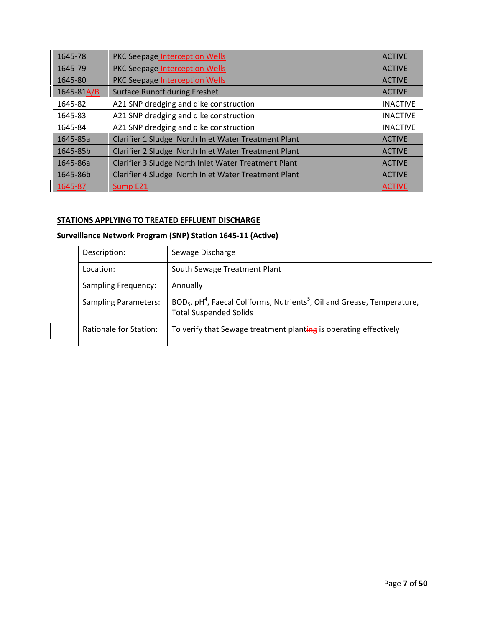| 1645-78    | PKC Seepage Interception Wells                       | <b>ACTIVE</b>   |
|------------|------------------------------------------------------|-----------------|
| 1645-79    | PKC Seepage Interception Wells                       | <b>ACTIVE</b>   |
| 1645-80    | PKC Seepage Interception Wells                       | <b>ACTIVE</b>   |
| 1645-81A/B | <b>Surface Runoff during Freshet</b>                 | <b>ACTIVE</b>   |
| 1645-82    | A21 SNP dredging and dike construction               | <b>INACTIVE</b> |
| 1645-83    | A21 SNP dredging and dike construction               | <b>INACTIVE</b> |
| 1645-84    | A21 SNP dredging and dike construction               | <b>INACTIVE</b> |
| 1645-85a   | Clarifier 1 Sludge North Inlet Water Treatment Plant | <b>ACTIVE</b>   |
| 1645-85b   | Clarifier 2 Sludge North Inlet Water Treatment Plant | <b>ACTIVE</b>   |
| 1645-86a   | Clarifier 3 Sludge North Inlet Water Treatment Plant | <b>ACTIVE</b>   |
| 1645-86b   | Clarifier 4 Sludge North Inlet Water Treatment Plant | <b>ACTIVE</b>   |
| 1645-87    | Sump E21                                             | <b>ACTIVE</b>   |

# **STATIONS APPLYING TO TREATED EFFLUENT DISCHARGE**

 $\overline{\phantom{a}}$ 

# **Surveillance Network Program (SNP) Station 1645‐11 (Active)**

| Description:                | Sewage Discharge                                                                                                          |
|-----------------------------|---------------------------------------------------------------------------------------------------------------------------|
| Location:                   | South Sewage Treatment Plant                                                                                              |
| <b>Sampling Frequency:</b>  | Annually                                                                                                                  |
| <b>Sampling Parameters:</b> | $BOD5$ , $pH4$ , Faecal Coliforms, Nutrients <sup>5</sup> , Oil and Grease, Temperature,<br><b>Total Suspended Solids</b> |
| Rationale for Station:      | To verify that Sewage treatment planting is operating effectively                                                         |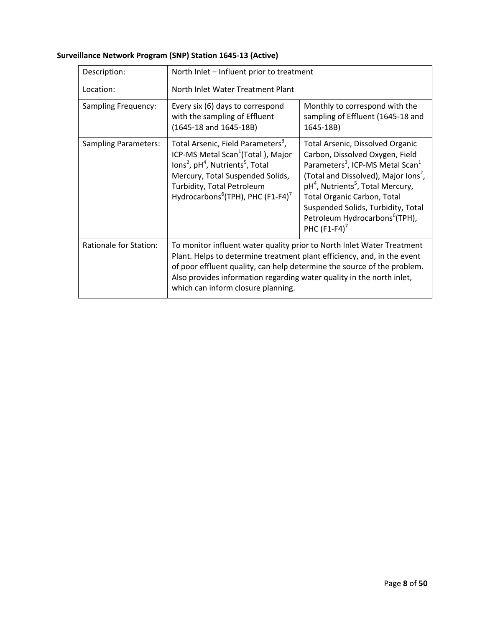| Description:                  | North Inlet - Influent prior to treatment                                                                                                                                                                                                                                                                                                   |                                                                                                                                                                                                                                                                                                                                                                                                      |  |
|-------------------------------|---------------------------------------------------------------------------------------------------------------------------------------------------------------------------------------------------------------------------------------------------------------------------------------------------------------------------------------------|------------------------------------------------------------------------------------------------------------------------------------------------------------------------------------------------------------------------------------------------------------------------------------------------------------------------------------------------------------------------------------------------------|--|
| Location:                     | North Inlet Water Treatment Plant                                                                                                                                                                                                                                                                                                           |                                                                                                                                                                                                                                                                                                                                                                                                      |  |
| <b>Sampling Frequency:</b>    | Every six (6) days to correspond<br>with the sampling of Effluent<br>(1645-18 and 1645-18B)                                                                                                                                                                                                                                                 | Monthly to correspond with the<br>sampling of Effluent (1645-18 and<br>1645-18B)                                                                                                                                                                                                                                                                                                                     |  |
| <b>Sampling Parameters:</b>   | Total Arsenic, Field Parameters <sup>3</sup> ,<br>ICP-MS Metal Scan <sup>1</sup> (Total), Major<br>lons <sup>2</sup> , pH <sup>4</sup> , Nutrients <sup>5</sup> , Total<br>Mercury, Total Suspended Solids,<br>Turbidity, Total Petroleum<br>Hydrocarbons <sup>6</sup> (TPH), PHC (F1-F4) <sup>7</sup>                                      | <b>Total Arsenic, Dissolved Organic</b><br>Carbon, Dissolved Oxygen, Field<br>Parameters <sup>3</sup> , ICP-MS Metal Scan <sup>1</sup><br>(Total and Dissolved), Major Ions <sup>2</sup> ,<br>pH <sup>4</sup> , Nutrients <sup>5</sup> , Total Mercury,<br><b>Total Organic Carbon, Total</b><br>Suspended Solids, Turbidity, Total<br>Petroleum Hydrocarbons <sup>6</sup> (TPH),<br>PHC $(F1-F4)^7$ |  |
| <b>Rationale for Station:</b> | To monitor influent water quality prior to North Inlet Water Treatment<br>Plant. Helps to determine treatment plant efficiency, and, in the event<br>of poor effluent quality, can help determine the source of the problem.<br>Also provides information regarding water quality in the north inlet,<br>which can inform closure planning. |                                                                                                                                                                                                                                                                                                                                                                                                      |  |

# **Surveillance Network Program (SNP) Station 1645‐13 (Active)**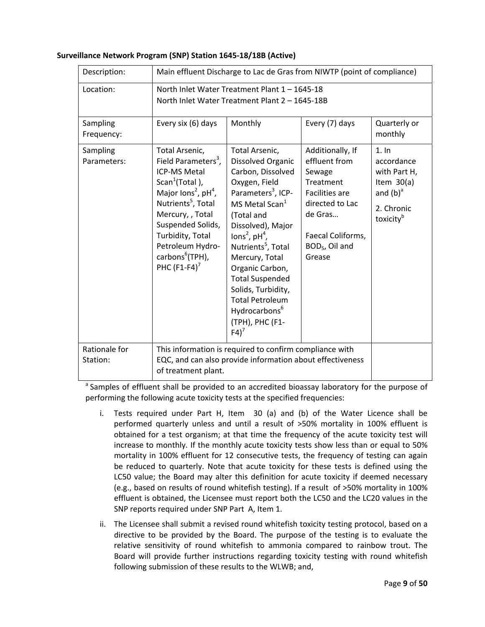| Description:              | Main effluent Discharge to Lac de Gras from NIWTP (point of compliance)                                                                                                                                                                                                                                          |                                                                                                                                                                                                                                                                                                                                                                                                                                    |                                                                                                                                                                              |                                                                                                          |
|---------------------------|------------------------------------------------------------------------------------------------------------------------------------------------------------------------------------------------------------------------------------------------------------------------------------------------------------------|------------------------------------------------------------------------------------------------------------------------------------------------------------------------------------------------------------------------------------------------------------------------------------------------------------------------------------------------------------------------------------------------------------------------------------|------------------------------------------------------------------------------------------------------------------------------------------------------------------------------|----------------------------------------------------------------------------------------------------------|
| Location:                 |                                                                                                                                                                                                                                                                                                                  | North Inlet Water Treatment Plant 1 - 1645-18<br>North Inlet Water Treatment Plant 2 - 1645-18B                                                                                                                                                                                                                                                                                                                                    |                                                                                                                                                                              |                                                                                                          |
| Sampling<br>Frequency:    | Every six (6) days                                                                                                                                                                                                                                                                                               | Monthly                                                                                                                                                                                                                                                                                                                                                                                                                            | Every (7) days                                                                                                                                                               | Quarterly or<br>monthly                                                                                  |
| Sampling<br>Parameters:   | Total Arsenic,<br>Field Parameters <sup>3</sup> ,<br><b>ICP-MS Metal</b><br>Scan <sup>1</sup> (Total),<br>Major lons <sup>2</sup> , $pH4$ ,<br>Nutrients <sup>5</sup> , Total<br>Mercury, , Total<br>Suspended Solids,<br>Turbidity, Total<br>Petroleum Hydro-<br>carbons <sup>6</sup> (TPH),<br>PHC $(F1-F4)^7$ | Total Arsenic,<br>Dissolved Organic<br>Carbon, Dissolved<br>Oxygen, Field<br>Parameters <sup>3</sup> , ICP-<br>MS Metal Scan <sup>1</sup><br>(Total and<br>Dissolved), Major<br>lons <sup>2</sup> , $pH^4$ ,<br>Nutrients <sup>5</sup> , Total<br>Mercury, Total<br>Organic Carbon,<br><b>Total Suspended</b><br>Solids, Turbidity,<br><b>Total Petroleum</b><br>Hydrocarbons <sup>6</sup><br>(TPH), PHC (F1-<br>$F4$ <sup>7</sup> | Additionally, If<br>effluent from<br>Sewage<br>Treatment<br><b>Facilities are</b><br>directed to Lac<br>de Gras<br>Faecal Coliforms,<br>BOD <sub>5</sub> , Oil and<br>Grease | 1.1n<br>accordance<br>with Part H,<br>Item $30(a)$<br>and $(b)^a$<br>2. Chronic<br>toxicity <sup>b</sup> |
| Rationale for<br>Station: | This information is required to confirm compliance with<br>EQC, and can also provide information about effectiveness<br>of treatment plant.                                                                                                                                                                      |                                                                                                                                                                                                                                                                                                                                                                                                                                    |                                                                                                                                                                              |                                                                                                          |

#### **Surveillance Network Program (SNP) Station 1645‐18/18B (Active)**

<sup>a</sup> Samples of effluent shall be provided to an accredited bioassay laboratory for the purpose of performing the following acute toxicity tests at the specified frequencies:

- i. Tests required under Part H, Item 30 (a) and (b) of the Water Licence shall be performed quarterly unless and until a result of >50% mortality in 100% effluent is obtained for a test organism; at that time the frequency of the acute toxicity test will increase to monthly. If the monthly acute toxicity tests show less than or equal to 50% mortality in 100% effluent for 12 consecutive tests, the frequency of testing can again be reduced to quarterly. Note that acute toxicity for these tests is defined using the LC50 value; the Board may alter this definition for acute toxicity if deemed necessary (e.g., based on results of round whitefish testing). If a result of >50% mortality in 100% effluent is obtained, the Licensee must report both the LC50 and the LC20 values in the SNP reports required under SNP Part A, Item 1.
- ii. The Licensee shall submit a revised round whitefish toxicity testing protocol, based on a directive to be provided by the Board. The purpose of the testing is to evaluate the relative sensitivity of round whitefish to ammonia compared to rainbow trout. The Board will provide further instructions regarding toxicity testing with round whitefish following submission of these results to the WLWB; and,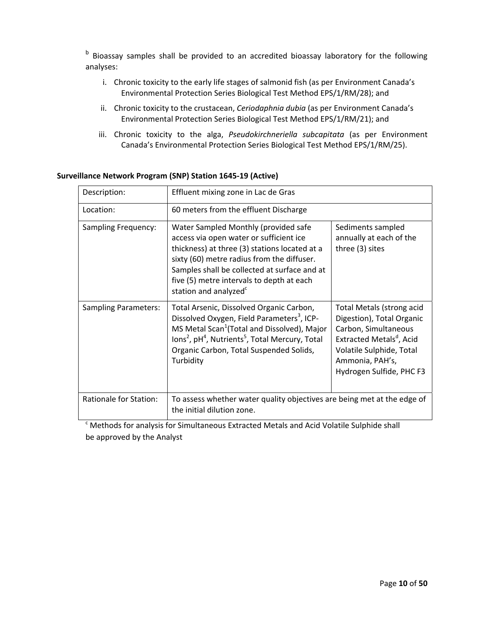b Bioassay samples shall be provided to an accredited bioassay laboratory for the following analyses:

- i. Chronic toxicity to the early life stages of salmonid fish (as per Environment Canada's Environmental Protection Series Biological Test Method EPS/1/RM/28); and
- ii. Chronic toxicity to the crustacean, *Ceriodaphnia dubia* (as per Environment Canada's Environmental Protection Series Biological Test Method EPS/1/RM/21); and
- iii. Chronic toxicity to the alga, *Pseudokirchneriella subcapitata* (as per Environment Canada's Environmental Protection Series Biological Test Method EPS/1/RM/25).

| Description:                  | Effluent mixing zone in Lac de Gras                                                                                                                                                                                                                                                                              |                                                                                                                                                                                                   |  |
|-------------------------------|------------------------------------------------------------------------------------------------------------------------------------------------------------------------------------------------------------------------------------------------------------------------------------------------------------------|---------------------------------------------------------------------------------------------------------------------------------------------------------------------------------------------------|--|
| Location:                     | 60 meters from the effluent Discharge                                                                                                                                                                                                                                                                            |                                                                                                                                                                                                   |  |
| <b>Sampling Frequency:</b>    | Water Sampled Monthly (provided safe<br>access via open water or sufficient ice<br>thickness) at three (3) stations located at a<br>sixty (60) metre radius from the diffuser.<br>Samples shall be collected at surface and at<br>five (5) metre intervals to depth at each<br>station and analyzed <sup>c</sup> | Sediments sampled<br>annually at each of the<br>three (3) sites                                                                                                                                   |  |
| <b>Sampling Parameters:</b>   | Total Arsenic, Dissolved Organic Carbon,<br>Dissolved Oxygen, Field Parameters <sup>3</sup> , ICP-<br>MS Metal Scan <sup>1</sup> (Total and Dissolved), Major<br>Ions <sup>2</sup> , pH <sup>4</sup> , Nutrients <sup>5</sup> , Total Mercury, Total<br>Organic Carbon, Total Suspended Solids,<br>Turbidity     | Total Metals (strong acid<br>Digestion), Total Organic<br>Carbon, Simultaneous<br>Extracted Metals <sup>d</sup> , Acid<br>Volatile Sulphide, Total<br>Ammonia, PAH's,<br>Hydrogen Sulfide, PHC F3 |  |
| <b>Rationale for Station:</b> | To assess whether water quality objectives are being met at the edge of<br>the initial dilution zone.                                                                                                                                                                                                            |                                                                                                                                                                                                   |  |

#### **Surveillance Network Program (SNP) Station 1645‐19 (Active)**

<sup>c</sup> Methods for analysis for Simultaneous Extracted Metals and Acid Volatile Sulphide shall be approved by the Analyst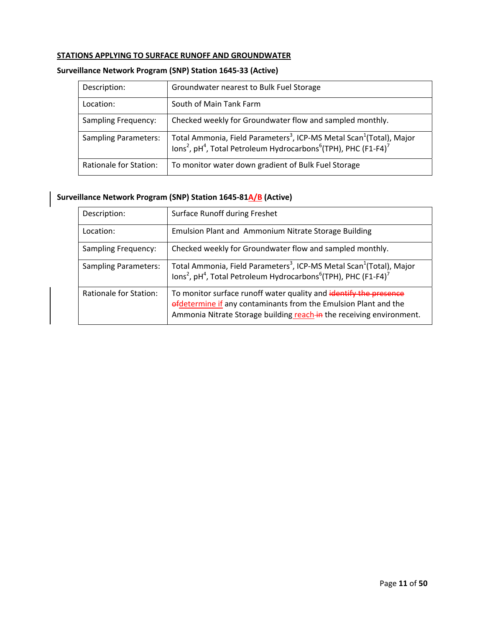#### **STATIONS APPLYING TO SURFACE RUNOFF AND GROUNDWATER**

# **Surveillance Network Program (SNP) Station 1645‐33 (Active)**

| Description:                | Groundwater nearest to Bulk Fuel Storage                                                                                                                                                                        |
|-----------------------------|-----------------------------------------------------------------------------------------------------------------------------------------------------------------------------------------------------------------|
| Location:                   | South of Main Tank Farm                                                                                                                                                                                         |
| <b>Sampling Frequency:</b>  | Checked weekly for Groundwater flow and sampled monthly.                                                                                                                                                        |
| <b>Sampling Parameters:</b> | Total Ammonia, Field Parameters <sup>3</sup> , ICP-MS Metal Scan <sup>1</sup> (Total), Major<br>lons <sup>2</sup> , pH <sup>4</sup> , Total Petroleum Hydrocarbons <sup>6</sup> (TPH), PHC (F1-F4) <sup>7</sup> |
| Rationale for Station:      | To monitor water down gradient of Bulk Fuel Storage                                                                                                                                                             |

# **Surveillance Network Program (SNP) Station 1645‐81A/B (Active)**

| Description:                | Surface Runoff during Freshet                                                                                                                                                                                   |
|-----------------------------|-----------------------------------------------------------------------------------------------------------------------------------------------------------------------------------------------------------------|
| Location:                   | <b>Emulsion Plant and Ammonium Nitrate Storage Building</b>                                                                                                                                                     |
| <b>Sampling Frequency:</b>  | Checked weekly for Groundwater flow and sampled monthly.                                                                                                                                                        |
| <b>Sampling Parameters:</b> | Total Ammonia, Field Parameters <sup>3</sup> , ICP-MS Metal Scan <sup>1</sup> (Total), Major<br>lons <sup>2</sup> , pH <sup>4</sup> , Total Petroleum Hydrocarbons <sup>6</sup> (TPH), PHC (F1-F4) <sup>7</sup> |
| Rationale for Station:      | To monitor surface runoff water quality and identify the presence<br>efdetermine if any contaminants from the Emulsion Plant and the<br>Ammonia Nitrate Storage building reach-in the receiving environment.    |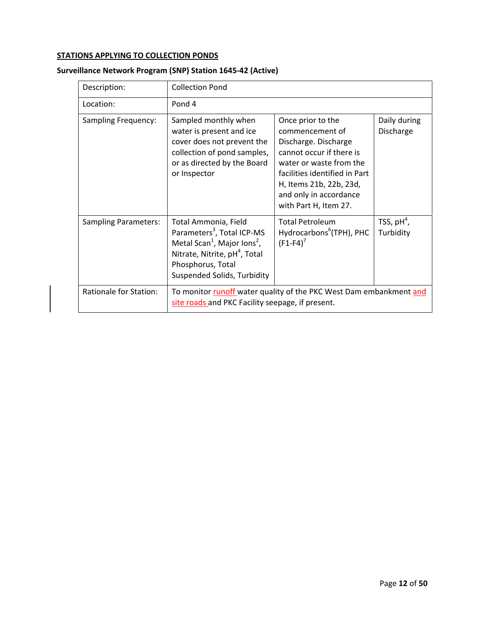# **STATIONS APPLYING TO COLLECTION PONDS**

| Description:                | <b>Collection Pond</b>                                                                                                                                                                                                 |                                                                                                                                                                                                                                    |                           |
|-----------------------------|------------------------------------------------------------------------------------------------------------------------------------------------------------------------------------------------------------------------|------------------------------------------------------------------------------------------------------------------------------------------------------------------------------------------------------------------------------------|---------------------------|
| Location:                   | Pond 4                                                                                                                                                                                                                 |                                                                                                                                                                                                                                    |                           |
| <b>Sampling Frequency:</b>  | Sampled monthly when<br>water is present and ice<br>cover does not prevent the<br>collection of pond samples,<br>or as directed by the Board<br>or Inspector                                                           | Once prior to the<br>commencement of<br>Discharge. Discharge<br>cannot occur if there is<br>water or waste from the<br>facilities identified in Part<br>H, Items 21b, 22b, 23d,<br>and only in accordance<br>with Part H, Item 27. | Daily during<br>Discharge |
| <b>Sampling Parameters:</b> | Total Ammonia, Field<br>Parameters <sup>3</sup> , Total ICP-MS<br>Metal Scan <sup>1</sup> , Major Ions <sup>2</sup> ,<br>Nitrate, Nitrite, pH <sup>4</sup> , Total<br>Phosphorus, Total<br>Suspended Solids, Turbidity | <b>Total Petroleum</b><br>Hydrocarbons <sup>6</sup> (TPH), PHC<br>$(F1-F4)^7$                                                                                                                                                      | TSS, $pH4$ ,<br>Turbidity |
| Rationale for Station:      | To monitor runoff water quality of the PKC West Dam embankment and<br>site roads and PKC Facility seepage, if present.                                                                                                 |                                                                                                                                                                                                                                    |                           |

# **Surveillance Network Program (SNP) Station 1645‐42 (Active)**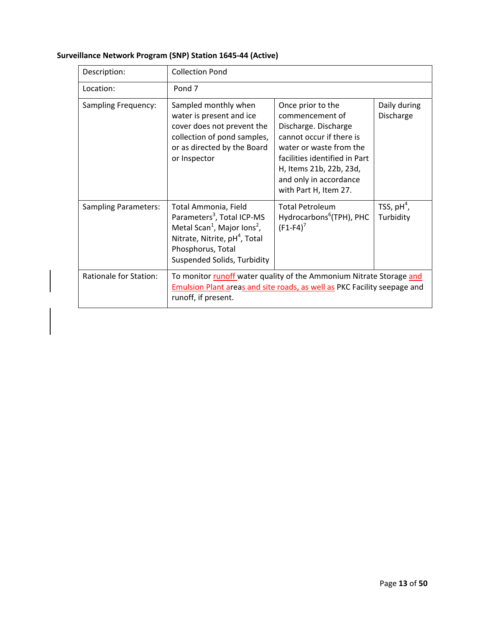| Description:                | <b>Collection Pond</b>                                                                                                                                                                                                 |                                                                                                                                                                                                                                    |                            |
|-----------------------------|------------------------------------------------------------------------------------------------------------------------------------------------------------------------------------------------------------------------|------------------------------------------------------------------------------------------------------------------------------------------------------------------------------------------------------------------------------------|----------------------------|
| Location:                   | Pond <sub>7</sub>                                                                                                                                                                                                      |                                                                                                                                                                                                                                    |                            |
| <b>Sampling Frequency:</b>  | Sampled monthly when<br>water is present and ice<br>cover does not prevent the<br>collection of pond samples,<br>or as directed by the Board<br>or Inspector                                                           | Once prior to the<br>commencement of<br>Discharge. Discharge<br>cannot occur if there is<br>water or waste from the<br>facilities identified in Part<br>H, Items 21b, 22b, 23d,<br>and only in accordance<br>with Part H, Item 27. | Daily during<br>Discharge  |
| <b>Sampling Parameters:</b> | Total Ammonia, Field<br>Parameters <sup>3</sup> , Total ICP-MS<br>Metal Scan <sup>1</sup> , Major Ions <sup>2</sup> ,<br>Nitrate, Nitrite, pH <sup>4</sup> , Total<br>Phosphorus, Total<br>Suspended Solids, Turbidity | <b>Total Petroleum</b><br>Hydrocarbons <sup>6</sup> (TPH), PHC<br>$(F1 - F4)^7$                                                                                                                                                    | TSS, $pH^4$ ,<br>Turbidity |
| Rationale for Station:      | To monitor runoff water quality of the Ammonium Nitrate Storage and<br>Emulsion Plant areas and site roads, as well as PKC Facility seepage and<br>runoff, if present.                                                 |                                                                                                                                                                                                                                    |                            |

# **Surveillance Network Program (SNP) Station 1645‐44 (Active)**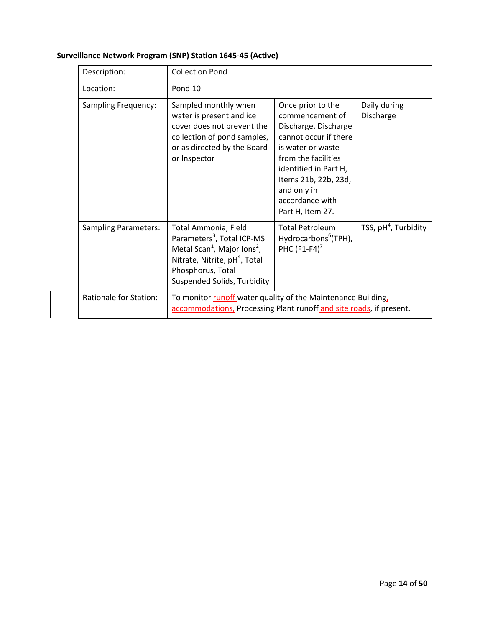| Description:                | <b>Collection Pond</b>                                                                                                                                                                                                        |                                                                                                                                                                                                                                          |                           |
|-----------------------------|-------------------------------------------------------------------------------------------------------------------------------------------------------------------------------------------------------------------------------|------------------------------------------------------------------------------------------------------------------------------------------------------------------------------------------------------------------------------------------|---------------------------|
| Location:                   | Pond 10                                                                                                                                                                                                                       |                                                                                                                                                                                                                                          |                           |
| <b>Sampling Frequency:</b>  | Sampled monthly when<br>water is present and ice<br>cover does not prevent the<br>collection of pond samples,<br>or as directed by the Board<br>or Inspector                                                                  | Once prior to the<br>commencement of<br>Discharge. Discharge<br>cannot occur if there<br>is water or waste<br>from the facilities<br>identified in Part H,<br>Items 21b, 22b, 23d,<br>and only in<br>accordance with<br>Part H, Item 27. | Daily during<br>Discharge |
| <b>Sampling Parameters:</b> | Total Ammonia, Field<br>Parameters <sup>3</sup> , Total ICP-MS<br>Metal Scan <sup>1</sup> , Major Ions <sup>2</sup> ,<br>Nitrate, Nitrite, pH <sup>4</sup> , Total<br>Phosphorus, Total<br><b>Suspended Solids, Turbidity</b> | <b>Total Petroleum</b><br>Hydrocarbons <sup>6</sup> (TPH),<br>PHC $(F1-F4)^7$                                                                                                                                                            | TSS, $pH4$ , Turbidity    |
| Rationale for Station:      | To monitor runoff water quality of the Maintenance Building,<br>accommodations, Processing Plant runoff and site roads, if present.                                                                                           |                                                                                                                                                                                                                                          |                           |

# **Surveillance Network Program (SNP) Station 1645‐45 (Active)**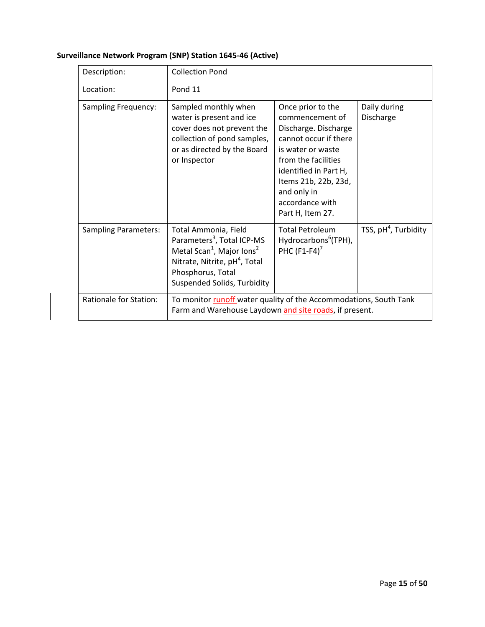| Description:                | <b>Collection Pond</b>                                                                                                                                                                                               |                                                                                                                                                                                                                                          |                           |
|-----------------------------|----------------------------------------------------------------------------------------------------------------------------------------------------------------------------------------------------------------------|------------------------------------------------------------------------------------------------------------------------------------------------------------------------------------------------------------------------------------------|---------------------------|
| Location:                   | Pond 11                                                                                                                                                                                                              |                                                                                                                                                                                                                                          |                           |
| <b>Sampling Frequency:</b>  | Sampled monthly when<br>water is present and ice<br>cover does not prevent the<br>collection of pond samples,<br>or as directed by the Board<br>or Inspector                                                         | Once prior to the<br>commencement of<br>Discharge. Discharge<br>cannot occur if there<br>is water or waste<br>from the facilities<br>identified in Part H,<br>Items 21b, 22b, 23d,<br>and only in<br>accordance with<br>Part H, Item 27. | Daily during<br>Discharge |
| <b>Sampling Parameters:</b> | Total Ammonia, Field<br>Parameters <sup>3</sup> , Total ICP-MS<br>Metal Scan <sup>1</sup> , Major Ions <sup>2</sup><br>Nitrate, Nitrite, pH <sup>4</sup> , Total<br>Phosphorus, Total<br>Suspended Solids, Turbidity | <b>Total Petroleum</b><br>Hydrocarbons <sup>6</sup> (TPH),<br>PHC $(F1-F4)^7$                                                                                                                                                            | TSS, $pH4$ , Turbidity    |
| Rationale for Station:      | To monitor runoff water quality of the Accommodations, South Tank<br>Farm and Warehouse Laydown and site roads, if present.                                                                                          |                                                                                                                                                                                                                                          |                           |

# **Surveillance Network Program (SNP) Station 1645‐46 (Active)**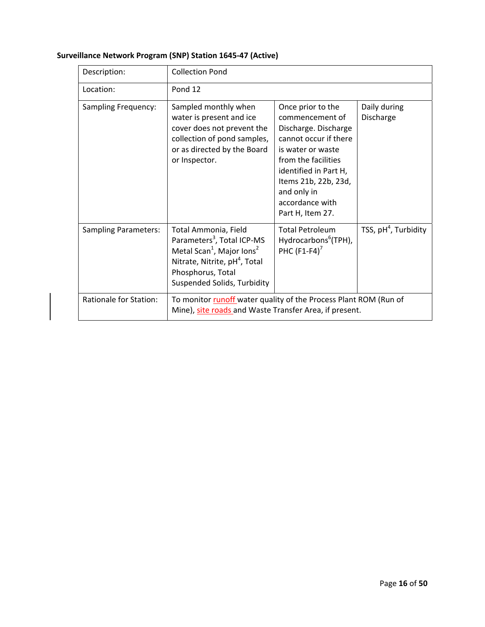| Description:                  | <b>Collection Pond</b>                                                                                                                                                                                               |                                                                                                                                                                                                                                          |                           |
|-------------------------------|----------------------------------------------------------------------------------------------------------------------------------------------------------------------------------------------------------------------|------------------------------------------------------------------------------------------------------------------------------------------------------------------------------------------------------------------------------------------|---------------------------|
| Location:                     | Pond 12                                                                                                                                                                                                              |                                                                                                                                                                                                                                          |                           |
| <b>Sampling Frequency:</b>    | Sampled monthly when<br>water is present and ice<br>cover does not prevent the<br>collection of pond samples,<br>or as directed by the Board<br>or Inspector.                                                        | Once prior to the<br>commencement of<br>Discharge. Discharge<br>cannot occur if there<br>is water or waste<br>from the facilities<br>identified in Part H,<br>Items 21b, 22b, 23d,<br>and only in<br>accordance with<br>Part H, Item 27. | Daily during<br>Discharge |
| <b>Sampling Parameters:</b>   | Total Ammonia, Field<br>Parameters <sup>3</sup> , Total ICP-MS<br>Metal Scan <sup>1</sup> , Major Ions <sup>2</sup><br>Nitrate, Nitrite, pH <sup>4</sup> , Total<br>Phosphorus, Total<br>Suspended Solids, Turbidity | <b>Total Petroleum</b><br>Hydrocarbons <sup>6</sup> (TPH),<br>PHC $(F1-F4)^7$                                                                                                                                                            | TSS, $pH4$ , Turbidity    |
| <b>Rationale for Station:</b> | To monitor runoff water quality of the Process Plant ROM (Run of<br>Mine), site roads and Waste Transfer Area, if present.                                                                                           |                                                                                                                                                                                                                                          |                           |

# **Surveillance Network Program (SNP) Station 1645‐47 (Active)**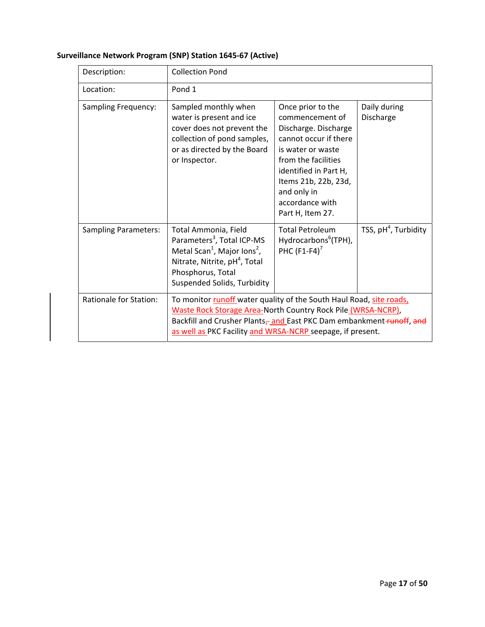| Description:                  | <b>Collection Pond</b>                                                                                                                                                                                                                                                   |                                                                                                                                                                                                                                          |                           |
|-------------------------------|--------------------------------------------------------------------------------------------------------------------------------------------------------------------------------------------------------------------------------------------------------------------------|------------------------------------------------------------------------------------------------------------------------------------------------------------------------------------------------------------------------------------------|---------------------------|
| Location:                     | Pond 1                                                                                                                                                                                                                                                                   |                                                                                                                                                                                                                                          |                           |
| <b>Sampling Frequency:</b>    | Sampled monthly when<br>water is present and ice<br>cover does not prevent the<br>collection of pond samples,<br>or as directed by the Board<br>or Inspector.                                                                                                            | Once prior to the<br>commencement of<br>Discharge. Discharge<br>cannot occur if there<br>is water or waste<br>from the facilities<br>identified in Part H,<br>Items 21b, 22b, 23d,<br>and only in<br>accordance with<br>Part H, Item 27. | Daily during<br>Discharge |
| <b>Sampling Parameters:</b>   | Total Ammonia, Field<br>Parameters <sup>3</sup> , Total ICP-MS<br>Metal Scan <sup>1</sup> , Major Ions <sup>2</sup> ,<br>Nitrate, Nitrite, pH <sup>4</sup> , Total<br>Phosphorus, Total<br>Suspended Solids, Turbidity                                                   | <b>Total Petroleum</b><br>Hydrocarbons <sup>6</sup> (TPH),<br>PHC $(F1-F4)^7$                                                                                                                                                            | TSS, $pH4$ , Turbidity    |
| <b>Rationale for Station:</b> | To monitor runoff water quality of the South Haul Road, site roads,<br>Waste Rock Storage Area-North Country Rock Pile (WRSA-NCRP),<br>Backfill and Crusher Plants-and East PKC Dam embankment-tunoff, and<br>as well as PKC Facility and WRSA-NCRP seepage, if present. |                                                                                                                                                                                                                                          |                           |

# **Surveillance Network Program (SNP) Station 1645‐67 (Active)**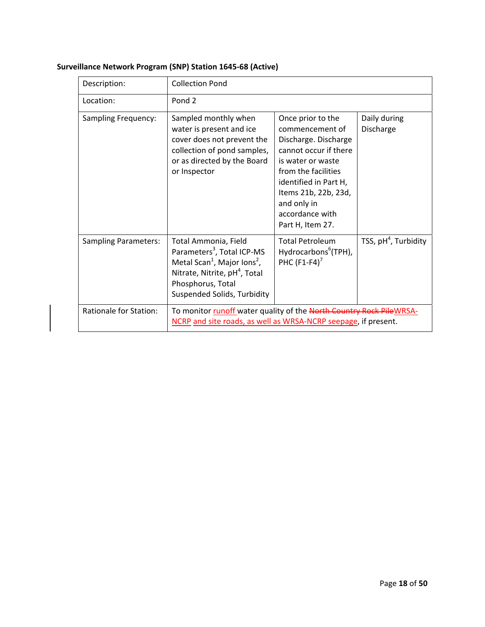| Description:                  | <b>Collection Pond</b>                                                                                                                                                                                                 |                                                                                                                                                                                                                                          |                           |
|-------------------------------|------------------------------------------------------------------------------------------------------------------------------------------------------------------------------------------------------------------------|------------------------------------------------------------------------------------------------------------------------------------------------------------------------------------------------------------------------------------------|---------------------------|
| Location:                     | Pond <sub>2</sub>                                                                                                                                                                                                      |                                                                                                                                                                                                                                          |                           |
| <b>Sampling Frequency:</b>    | Sampled monthly when<br>water is present and ice<br>cover does not prevent the<br>collection of pond samples,<br>or as directed by the Board<br>or Inspector                                                           | Once prior to the<br>commencement of<br>Discharge. Discharge<br>cannot occur if there<br>is water or waste<br>from the facilities<br>identified in Part H,<br>Items 21b, 22b, 23d,<br>and only in<br>accordance with<br>Part H, Item 27. | Daily during<br>Discharge |
| <b>Sampling Parameters:</b>   | Total Ammonia, Field<br>Parameters <sup>3</sup> , Total ICP-MS<br>Metal Scan <sup>1</sup> , Major Ions <sup>2</sup> ,<br>Nitrate, Nitrite, pH <sup>4</sup> , Total<br>Phosphorus, Total<br>Suspended Solids, Turbidity | <b>Total Petroleum</b><br>Hydrocarbons <sup>6</sup> (TPH),<br>PHC $(F1-F4)^7$                                                                                                                                                            | TSS, $pH4$ , Turbidity    |
| <b>Rationale for Station:</b> | To monitor runoff water quality of the North Country Rock PileWRSA-<br>NCRP and site roads, as well as WRSA-NCRP seepage, if present.                                                                                  |                                                                                                                                                                                                                                          |                           |

# **Surveillance Network Program (SNP) Station 1645‐68 (Active)**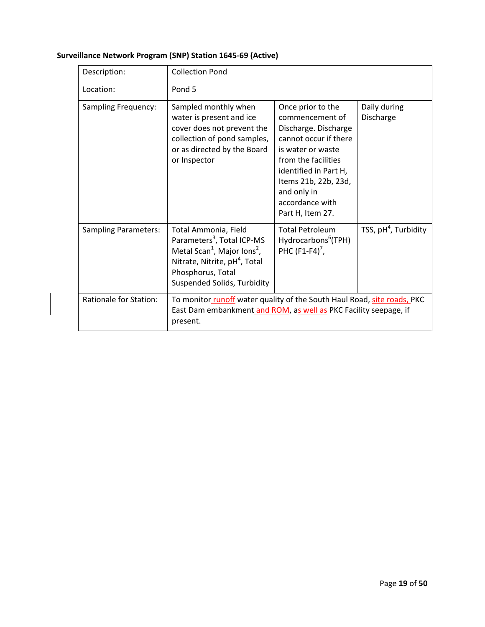| Description:                  | <b>Collection Pond</b>                                                                                                                                                                                                 |                                                                                                                                                                                                                                          |                           |
|-------------------------------|------------------------------------------------------------------------------------------------------------------------------------------------------------------------------------------------------------------------|------------------------------------------------------------------------------------------------------------------------------------------------------------------------------------------------------------------------------------------|---------------------------|
| Location:                     | Pond 5                                                                                                                                                                                                                 |                                                                                                                                                                                                                                          |                           |
| Sampling Frequency:           | Sampled monthly when<br>water is present and ice<br>cover does not prevent the<br>collection of pond samples,<br>or as directed by the Board<br>or Inspector                                                           | Once prior to the<br>commencement of<br>Discharge. Discharge<br>cannot occur if there<br>is water or waste<br>from the facilities<br>identified in Part H,<br>Items 21b, 22b, 23d,<br>and only in<br>accordance with<br>Part H, Item 27. | Daily during<br>Discharge |
| <b>Sampling Parameters:</b>   | Total Ammonia, Field<br>Parameters <sup>3</sup> , Total ICP-MS<br>Metal Scan <sup>1</sup> , Major Ions <sup>2</sup> ,<br>Nitrate, Nitrite, pH <sup>4</sup> , Total<br>Phosphorus, Total<br>Suspended Solids, Turbidity | <b>Total Petroleum</b><br>Hydrocarbons <sup>6</sup> (TPH)<br>PHC $(F1-F4)^7$ ,                                                                                                                                                           | TSS, $pH4$ , Turbidity    |
| <b>Rationale for Station:</b> | To monitor runoff water quality of the South Haul Road, site roads, PKC<br>East Dam embankment and ROM, as well as PKC Facility seepage, if<br>present.                                                                |                                                                                                                                                                                                                                          |                           |

# **Surveillance Network Program (SNP) Station 1645‐69 (Active)**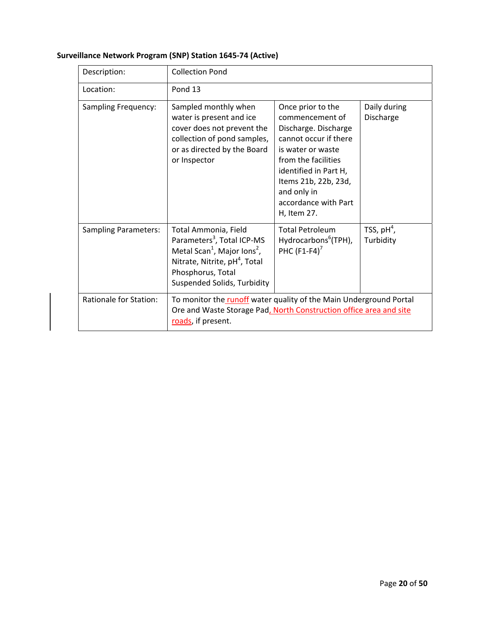| Description:                  | <b>Collection Pond</b>                                                                                                                                                                                                        |                                                                                                                                                                                                                                          |                            |
|-------------------------------|-------------------------------------------------------------------------------------------------------------------------------------------------------------------------------------------------------------------------------|------------------------------------------------------------------------------------------------------------------------------------------------------------------------------------------------------------------------------------------|----------------------------|
| Location:                     | Pond 13                                                                                                                                                                                                                       |                                                                                                                                                                                                                                          |                            |
| <b>Sampling Frequency:</b>    | Sampled monthly when<br>water is present and ice<br>cover does not prevent the<br>collection of pond samples,<br>or as directed by the Board<br>or Inspector                                                                  | Once prior to the<br>commencement of<br>Discharge. Discharge<br>cannot occur if there<br>is water or waste<br>from the facilities<br>identified in Part H,<br>Items 21b, 22b, 23d,<br>and only in<br>accordance with Part<br>H, Item 27. | Daily during<br>Discharge  |
| <b>Sampling Parameters:</b>   | Total Ammonia, Field<br>Parameters <sup>3</sup> , Total ICP-MS<br>Metal Scan <sup>1</sup> , Major Ions <sup>2</sup> ,<br>Nitrate, Nitrite, pH <sup>4</sup> , Total<br>Phosphorus, Total<br><b>Suspended Solids, Turbidity</b> | <b>Total Petroleum</b><br>Hydrocarbons <sup>6</sup> (TPH),<br>PHC $(F1-F4)^7$                                                                                                                                                            | TSS, $pH^4$ ,<br>Turbidity |
| <b>Rationale for Station:</b> | To monitor the runoff water quality of the Main Underground Portal<br>Ore and Waste Storage Pad, North Construction office area and site<br>roads, if present.                                                                |                                                                                                                                                                                                                                          |                            |

# **Surveillance Network Program (SNP) Station 1645‐74 (Active)**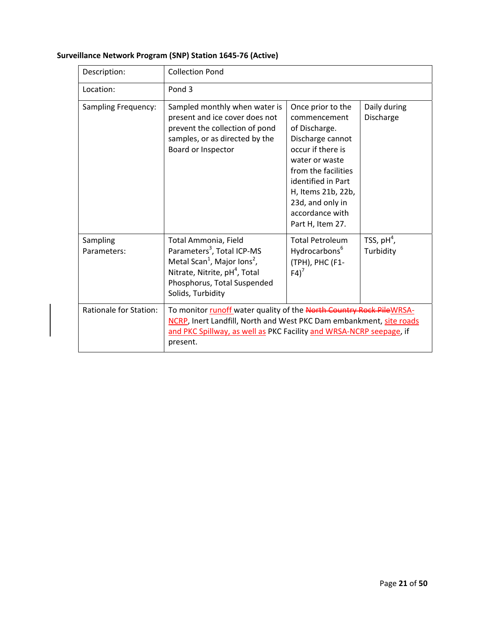| Description:                  | <b>Collection Pond</b>                                                                                                                                                                                                        |                                                                                                                                                                                                                                             |                            |
|-------------------------------|-------------------------------------------------------------------------------------------------------------------------------------------------------------------------------------------------------------------------------|---------------------------------------------------------------------------------------------------------------------------------------------------------------------------------------------------------------------------------------------|----------------------------|
| Location:                     | Pond <sub>3</sub>                                                                                                                                                                                                             |                                                                                                                                                                                                                                             |                            |
| <b>Sampling Frequency:</b>    | Sampled monthly when water is<br>present and ice cover does not<br>prevent the collection of pond<br>samples, or as directed by the<br>Board or Inspector                                                                     | Once prior to the<br>commencement<br>of Discharge.<br>Discharge cannot<br>occur if there is<br>water or waste<br>from the facilities<br>identified in Part<br>H, Items 21b, 22b,<br>23d, and only in<br>accordance with<br>Part H, Item 27. | Daily during<br>Discharge  |
| Sampling<br>Parameters:       | Total Ammonia, Field<br>Parameters <sup>3</sup> , Total ICP-MS<br>Metal Scan <sup>1</sup> , Major Ions <sup>2</sup> ,<br>Nitrate, Nitrite, pH <sup>4</sup> , Total<br>Phosphorus, Total Suspended<br>Solids, Turbidity        | <b>Total Petroleum</b><br>Hydrocarbons <sup>6</sup><br>(TPH), PHC (F1-<br>$F4$ <sup>7</sup>                                                                                                                                                 | TSS, $pH^4$ ,<br>Turbidity |
| <b>Rationale for Station:</b> | To monitor runoff water quality of the North Country Rock PileWRSA-<br>NCRP, Inert Landfill, North and West PKC Dam embankment, site roads<br>and PKC Spillway, as well as PKC Facility and WRSA-NCRP seepage, if<br>present. |                                                                                                                                                                                                                                             |                            |

# **Surveillance Network Program (SNP) Station 1645‐76 (Active)**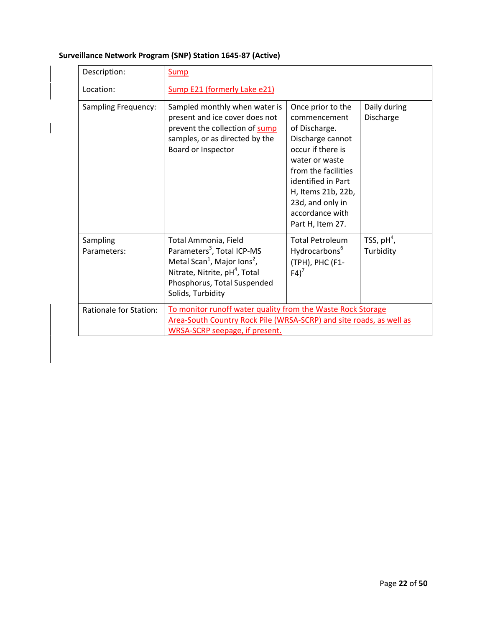| Description:                  | Sump                                                                                                                                                                                                                   |                                                                                                                                                                                                                                             |                            |
|-------------------------------|------------------------------------------------------------------------------------------------------------------------------------------------------------------------------------------------------------------------|---------------------------------------------------------------------------------------------------------------------------------------------------------------------------------------------------------------------------------------------|----------------------------|
| Location:                     | Sump E21 (formerly Lake e21)                                                                                                                                                                                           |                                                                                                                                                                                                                                             |                            |
| Sampling Frequency:           | Sampled monthly when water is<br>present and ice cover does not<br>prevent the collection of sump<br>samples, or as directed by the<br>Board or Inspector                                                              | Once prior to the<br>commencement<br>of Discharge.<br>Discharge cannot<br>occur if there is<br>water or waste<br>from the facilities<br>identified in Part<br>H, Items 21b, 22b,<br>23d, and only in<br>accordance with<br>Part H, Item 27. | Daily during<br>Discharge  |
| Sampling<br>Parameters:       | Total Ammonia, Field<br>Parameters <sup>3</sup> , Total ICP-MS<br>Metal Scan <sup>1</sup> , Major Ions <sup>2</sup> ,<br>Nitrate, Nitrite, pH <sup>4</sup> , Total<br>Phosphorus, Total Suspended<br>Solids, Turbidity | <b>Total Petroleum</b><br>Hydrocarbons <sup>6</sup><br>(TPH), PHC (F1-<br>$F4$ <sup>7</sup>                                                                                                                                                 | TSS, $pH^4$ ,<br>Turbidity |
| <b>Rationale for Station:</b> | To monitor runoff water quality from the Waste Rock Storage<br>Area-South Country Rock Pile (WRSA-SCRP) and site roads, as well as<br>WRSA-SCRP seepage, if present.                                                   |                                                                                                                                                                                                                                             |                            |

# **Surveillance Network Program (SNP) Station 1645‐87 (Active)**

 $\overline{\phantom{a}}$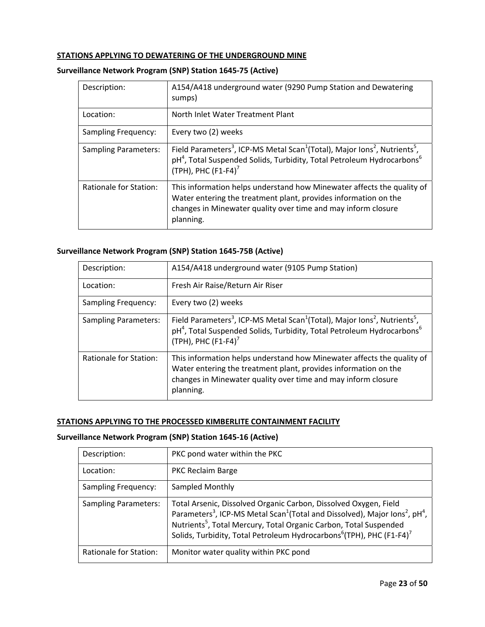#### **STATIONS APPLYING TO DEWATERING OF THE UNDERGROUND MINE**

#### **Surveillance Network Program (SNP) Station 1645‐75 (Active)**

| Description:                | A154/A418 underground water (9290 Pump Station and Dewatering<br>sumps)                                                                                                                                                                                |
|-----------------------------|--------------------------------------------------------------------------------------------------------------------------------------------------------------------------------------------------------------------------------------------------------|
| Location:                   | North Inlet Water Treatment Plant                                                                                                                                                                                                                      |
| Sampling Frequency:         | Every two (2) weeks                                                                                                                                                                                                                                    |
| <b>Sampling Parameters:</b> | Field Parameters <sup>3</sup> , ICP-MS Metal Scan <sup>1</sup> (Total), Major Ions <sup>2</sup> , Nutrients <sup>5</sup> ,<br>pH <sup>4</sup> , Total Suspended Solids, Turbidity, Total Petroleum Hydrocarbons <sup>6</sup><br>(TPH), PHC $(F1-F4)^7$ |
| Rationale for Station:      | This information helps understand how Minewater affects the quality of<br>Water entering the treatment plant, provides information on the<br>changes in Minewater quality over time and may inform closure<br>planning.                                |

#### **Surveillance Network Program (SNP) Station 1645‐75B (Active)**

| Description:                  | A154/A418 underground water (9105 Pump Station)                                                                                                                                                                                                        |
|-------------------------------|--------------------------------------------------------------------------------------------------------------------------------------------------------------------------------------------------------------------------------------------------------|
| Location:                     | Fresh Air Raise/Return Air Riser                                                                                                                                                                                                                       |
| <b>Sampling Frequency:</b>    | Every two (2) weeks                                                                                                                                                                                                                                    |
| <b>Sampling Parameters:</b>   | Field Parameters <sup>3</sup> , ICP-MS Metal Scan <sup>1</sup> (Total), Major Ions <sup>2</sup> , Nutrients <sup>5</sup> ,<br>pH <sup>4</sup> , Total Suspended Solids, Turbidity, Total Petroleum Hydrocarbons <sup>6</sup><br>(TPH), PHC $(F1-F4)^7$ |
| <b>Rationale for Station:</b> | This information helps understand how Minewater affects the quality of<br>Water entering the treatment plant, provides information on the<br>changes in Minewater quality over time and may inform closure<br>planning.                                |

### **STATIONS APPLYING TO THE PROCESSED KIMBERLITE CONTAINMENT FACILITY**

#### **Surveillance Network Program (SNP) Station 1645‐16 (Active)**

| Description:                | PKC pond water within the PKC                                                                                                                                                                                                                                                                                                                                                    |
|-----------------------------|----------------------------------------------------------------------------------------------------------------------------------------------------------------------------------------------------------------------------------------------------------------------------------------------------------------------------------------------------------------------------------|
| Location:                   | <b>PKC Reclaim Barge</b>                                                                                                                                                                                                                                                                                                                                                         |
| <b>Sampling Frequency:</b>  | Sampled Monthly                                                                                                                                                                                                                                                                                                                                                                  |
| <b>Sampling Parameters:</b> | Total Arsenic, Dissolved Organic Carbon, Dissolved Oxygen, Field<br>Parameters <sup>3</sup> , ICP-MS Metal Scan <sup>1</sup> (Total and Dissolved), Major Ions <sup>2</sup> , pH <sup>4</sup> ,<br>Nutrients <sup>5</sup> , Total Mercury, Total Organic Carbon, Total Suspended<br>Solids, Turbidity, Total Petroleum Hydrocarbons <sup>6</sup> (TPH), PHC (F1-F4) <sup>7</sup> |
| Rationale for Station:      | Monitor water quality within PKC pond                                                                                                                                                                                                                                                                                                                                            |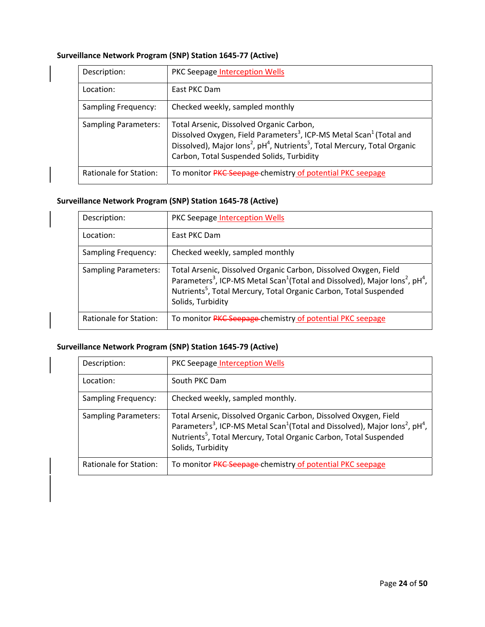### **Surveillance Network Program (SNP) Station 1645‐77 (Active)**

| Description:                | PKC Seepage Interception Wells                                                                                                                                                                                                                                                                        |
|-----------------------------|-------------------------------------------------------------------------------------------------------------------------------------------------------------------------------------------------------------------------------------------------------------------------------------------------------|
| Location:                   | East PKC Dam                                                                                                                                                                                                                                                                                          |
| <b>Sampling Frequency:</b>  | Checked weekly, sampled monthly                                                                                                                                                                                                                                                                       |
| <b>Sampling Parameters:</b> | Total Arsenic, Dissolved Organic Carbon,<br>Dissolved Oxygen, Field Parameters <sup>3</sup> , ICP-MS Metal Scan <sup>1</sup> (Total and<br>Dissolved), Major Ions <sup>2</sup> , pH <sup>4</sup> , Nutrients <sup>5</sup> , Total Mercury, Total Organic<br>Carbon, Total Suspended Solids, Turbidity |
| Rationale for Station:      | To monitor PKC Seepage-chemistry of potential PKC seepage                                                                                                                                                                                                                                             |

### **Surveillance Network Program (SNP) Station 1645‐78 (Active)**

| Description:                | <b>PKC Seepage Interception Wells</b>                                                                                                                                                                                                                                                                 |
|-----------------------------|-------------------------------------------------------------------------------------------------------------------------------------------------------------------------------------------------------------------------------------------------------------------------------------------------------|
| Location:                   | East PKC Dam                                                                                                                                                                                                                                                                                          |
| <b>Sampling Frequency:</b>  | Checked weekly, sampled monthly                                                                                                                                                                                                                                                                       |
| <b>Sampling Parameters:</b> | Total Arsenic, Dissolved Organic Carbon, Dissolved Oxygen, Field<br>Parameters <sup>3</sup> , ICP-MS Metal Scan <sup>1</sup> (Total and Dissolved), Major Ions <sup>2</sup> , pH <sup>4</sup> ,<br>Nutrients <sup>5</sup> , Total Mercury, Total Organic Carbon, Total Suspended<br>Solids, Turbidity |
| Rationale for Station:      | To monitor PKC Seepage-chemistry of potential PKC seepage                                                                                                                                                                                                                                             |

# **Surveillance Network Program (SNP) Station 1645‐79 (Active)**

| Description:                | PKC Seepage Interception Wells                                                                                                                                                                                                                                                                        |
|-----------------------------|-------------------------------------------------------------------------------------------------------------------------------------------------------------------------------------------------------------------------------------------------------------------------------------------------------|
| Location:                   | South PKC Dam                                                                                                                                                                                                                                                                                         |
| <b>Sampling Frequency:</b>  | Checked weekly, sampled monthly.                                                                                                                                                                                                                                                                      |
| <b>Sampling Parameters:</b> | Total Arsenic, Dissolved Organic Carbon, Dissolved Oxygen, Field<br>Parameters <sup>3</sup> , ICP-MS Metal Scan <sup>1</sup> (Total and Dissolved), Major Ions <sup>2</sup> , pH <sup>4</sup> ,<br>Nutrients <sup>5</sup> , Total Mercury, Total Organic Carbon, Total Suspended<br>Solids, Turbidity |
| Rationale for Station:      | To monitor PKC Seepage-chemistry of potential PKC seepage                                                                                                                                                                                                                                             |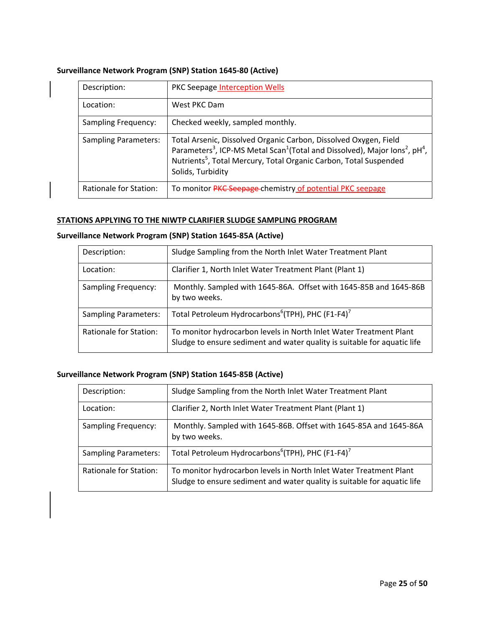### **Surveillance Network Program (SNP) Station 1645‐80 (Active)**

| Description:                | <b>PKC Seepage Interception Wells</b>                                                                                                                                                                                                                                                                 |
|-----------------------------|-------------------------------------------------------------------------------------------------------------------------------------------------------------------------------------------------------------------------------------------------------------------------------------------------------|
| Location:                   | West PKC Dam                                                                                                                                                                                                                                                                                          |
| <b>Sampling Frequency:</b>  | Checked weekly, sampled monthly.                                                                                                                                                                                                                                                                      |
| <b>Sampling Parameters:</b> | Total Arsenic, Dissolved Organic Carbon, Dissolved Oxygen, Field<br>Parameters <sup>3</sup> , ICP-MS Metal Scan <sup>1</sup> (Total and Dissolved), Major Ions <sup>2</sup> , pH <sup>4</sup> ,<br>Nutrients <sup>5</sup> , Total Mercury, Total Organic Carbon, Total Suspended<br>Solids, Turbidity |
| Rationale for Station:      | To monitor <b>PKC Seepage</b> chemistry of potential PKC seepage                                                                                                                                                                                                                                      |

#### **STATIONS APPLYING TO THE NIWTP CLARIFIER SLUDGE SAMPLING PROGRAM**

### **Surveillance Network Program (SNP) Station 1645‐85A (Active)**

| Description:                  | Sludge Sampling from the North Inlet Water Treatment Plant                                                                                     |
|-------------------------------|------------------------------------------------------------------------------------------------------------------------------------------------|
| Location:                     | Clarifier 1, North Inlet Water Treatment Plant (Plant 1)                                                                                       |
| <b>Sampling Frequency:</b>    | Monthly. Sampled with 1645-86A. Offset with 1645-85B and 1645-86B<br>by two weeks.                                                             |
| <b>Sampling Parameters:</b>   | Total Petroleum Hydrocarbons <sup>6</sup> (TPH), PHC (F1-F4) <sup>7</sup>                                                                      |
| <b>Rationale for Station:</b> | To monitor hydrocarbon levels in North Inlet Water Treatment Plant<br>Sludge to ensure sediment and water quality is suitable for aquatic life |

### **Surveillance Network Program (SNP) Station 1645‐85B (Active)**

| Description:                | Sludge Sampling from the North Inlet Water Treatment Plant                                                                                     |
|-----------------------------|------------------------------------------------------------------------------------------------------------------------------------------------|
| Location:                   | Clarifier 2, North Inlet Water Treatment Plant (Plant 1)                                                                                       |
| <b>Sampling Frequency:</b>  | Monthly. Sampled with 1645-86B. Offset with 1645-85A and 1645-86A<br>by two weeks.                                                             |
| <b>Sampling Parameters:</b> | Total Petroleum Hydrocarbons <sup>6</sup> (TPH), PHC (F1-F4) <sup>7</sup>                                                                      |
| Rationale for Station:      | To monitor hydrocarbon levels in North Inlet Water Treatment Plant<br>Sludge to ensure sediment and water quality is suitable for aquatic life |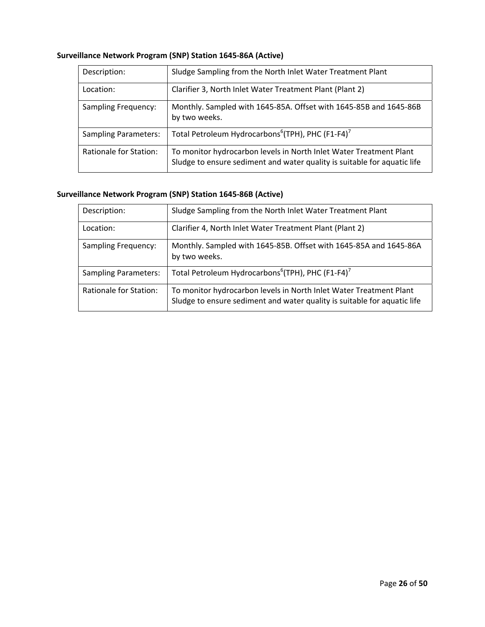| Description:                | Sludge Sampling from the North Inlet Water Treatment Plant                                                                                     |
|-----------------------------|------------------------------------------------------------------------------------------------------------------------------------------------|
| Location:                   | Clarifier 3, North Inlet Water Treatment Plant (Plant 2)                                                                                       |
| <b>Sampling Frequency:</b>  | Monthly. Sampled with 1645-85A. Offset with 1645-85B and 1645-86B<br>by two weeks.                                                             |
| <b>Sampling Parameters:</b> | Total Petroleum Hydrocarbons <sup>6</sup> (TPH), PHC (F1-F4) <sup>7</sup>                                                                      |
| Rationale for Station:      | To monitor hydrocarbon levels in North Inlet Water Treatment Plant<br>Sludge to ensure sediment and water quality is suitable for aquatic life |

# **Surveillance Network Program (SNP) Station 1645‐86A (Active)**

# **Surveillance Network Program (SNP) Station 1645‐86B (Active)**

| Description:                | Sludge Sampling from the North Inlet Water Treatment Plant                                                                                     |
|-----------------------------|------------------------------------------------------------------------------------------------------------------------------------------------|
| Location:                   | Clarifier 4, North Inlet Water Treatment Plant (Plant 2)                                                                                       |
| <b>Sampling Frequency:</b>  | Monthly. Sampled with 1645-85B. Offset with 1645-85A and 1645-86A<br>by two weeks.                                                             |
| <b>Sampling Parameters:</b> | Total Petroleum Hydrocarbons <sup>6</sup> (TPH), PHC (F1-F4) <sup>7</sup>                                                                      |
| Rationale for Station:      | To monitor hydrocarbon levels in North Inlet Water Treatment Plant<br>Sludge to ensure sediment and water quality is suitable for aquatic life |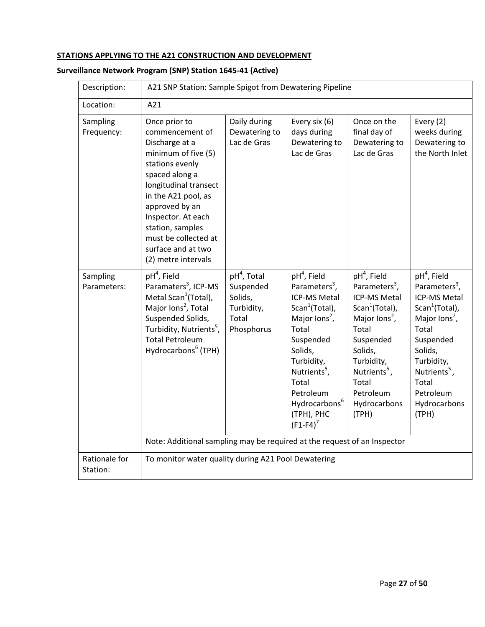### **STATIONS APPLYING TO THE A21 CONSTRUCTION AND DEVELOPMENT**

| Description:              | A21 SNP Station: Sample Spigot from Dewatering Pipeline                                                                                                                                                                                                                                                                       |                                                                            |                                                                                                                                                                                                                                                                                  |                                                                                                                                                                                                                                                        |                                                                                                                                                                                                                                                        |
|---------------------------|-------------------------------------------------------------------------------------------------------------------------------------------------------------------------------------------------------------------------------------------------------------------------------------------------------------------------------|----------------------------------------------------------------------------|----------------------------------------------------------------------------------------------------------------------------------------------------------------------------------------------------------------------------------------------------------------------------------|--------------------------------------------------------------------------------------------------------------------------------------------------------------------------------------------------------------------------------------------------------|--------------------------------------------------------------------------------------------------------------------------------------------------------------------------------------------------------------------------------------------------------|
| Location:                 | A21                                                                                                                                                                                                                                                                                                                           |                                                                            |                                                                                                                                                                                                                                                                                  |                                                                                                                                                                                                                                                        |                                                                                                                                                                                                                                                        |
| Sampling<br>Frequency:    | Once prior to<br>commencement of<br>Discharge at a<br>minimum of five (5)<br>stations evenly<br>spaced along a<br>longitudinal transect<br>in the A21 pool, as<br>approved by an<br>Inspector. At each<br>station, samples<br>must be collected at<br>surface and at two<br>(2) metre intervals                               | Daily during<br>Dewatering to<br>Lac de Gras                               | Every six (6)<br>days during<br>Dewatering to<br>Lac de Gras                                                                                                                                                                                                                     | Once on the<br>final day of<br>Dewatering to<br>Lac de Gras                                                                                                                                                                                            | Every (2)<br>weeks during<br>Dewatering to<br>the North Inlet                                                                                                                                                                                          |
| Sampling<br>Parameters:   | $pH4$ , Field<br>Paramaters <sup>3</sup> , ICP-MS<br>Metal Scan <sup>1</sup> (Total),<br>Major lons <sup>2</sup> , Total<br>Suspended Solids,<br>Turbidity, Nutrients <sup>5</sup> ,<br><b>Total Petroleum</b><br>Hydrocarbons <sup>6</sup> (TPH)<br>Note: Additional sampling may be required at the request of an Inspector | $pH4$ , Total<br>Suspended<br>Solids,<br>Turbidity,<br>Total<br>Phosphorus | $pH4$ , Field<br>Parameters <sup>3</sup> ,<br>ICP-MS Metal<br>Scan <sup>1</sup> (Total),<br>Major lons <sup>2</sup> ,<br>Total<br>Suspended<br>Solids,<br>Turbidity,<br>Nutrients <sup>5</sup> ,<br>Total<br>Petroleum<br>Hydrocarbons <sup>6</sup><br>(TPH), PHC<br>$(F1-F4)^7$ | $pH4$ , Field<br>Parameters <sup>3</sup> ,<br><b>ICP-MS Metal</b><br>Scan <sup>1</sup> (Total),<br>Major lons <sup>2</sup> ,<br>Total<br>Suspended<br>Solids,<br>Turbidity,<br>Nutrients <sup>5</sup> ,<br>Total<br>Petroleum<br>Hydrocarbons<br>(TPH) | $pH4$ , Field<br>Parameters <sup>3</sup> ,<br><b>ICP-MS Metal</b><br>Scan <sup>1</sup> (Total),<br>Major lons <sup>2</sup> ,<br>Total<br>Suspended<br>Solids,<br>Turbidity,<br>Nutrients <sup>5</sup> ,<br>Total<br>Petroleum<br>Hydrocarbons<br>(TPH) |
| Rationale for<br>Station: | To monitor water quality during A21 Pool Dewatering                                                                                                                                                                                                                                                                           |                                                                            |                                                                                                                                                                                                                                                                                  |                                                                                                                                                                                                                                                        |                                                                                                                                                                                                                                                        |

# **Surveillance Network Program (SNP) Station 1645‐41 (Active)**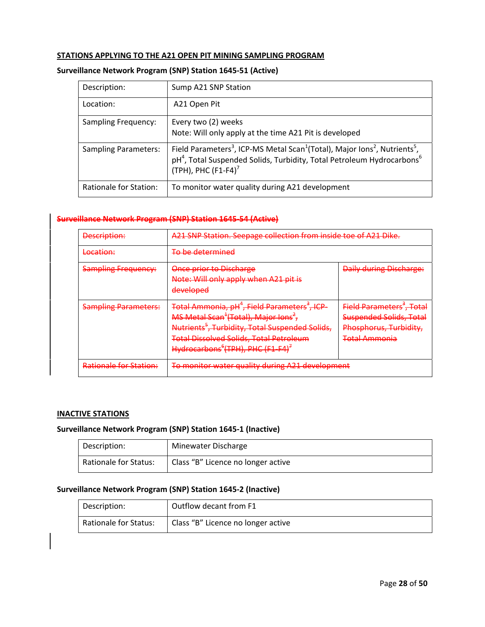#### **STATIONS APPLYING TO THE A21 OPEN PIT MINING SAMPLING PROGRAM**

#### **Surveillance Network Program (SNP) Station 1645‐51 (Active)**

| Description:                | Sump A21 SNP Station                                                                                                                                                                                                                                   |
|-----------------------------|--------------------------------------------------------------------------------------------------------------------------------------------------------------------------------------------------------------------------------------------------------|
| Location:                   | A21 Open Pit                                                                                                                                                                                                                                           |
| <b>Sampling Frequency:</b>  | Every two (2) weeks<br>Note: Will only apply at the time A21 Pit is developed                                                                                                                                                                          |
| <b>Sampling Parameters:</b> | Field Parameters <sup>3</sup> , ICP-MS Metal Scan <sup>1</sup> (Total), Major Ions <sup>2</sup> , Nutrients <sup>5</sup> ,<br>pH <sup>4</sup> , Total Suspended Solids, Turbidity, Total Petroleum Hydrocarbons <sup>6</sup><br>(TPH), PHC $(F1-F4)^7$ |
| Rationale for Station:      | To monitor water quality during A21 development                                                                                                                                                                                                        |

#### **Surveillance Network Program (SNP) Station 1645‐54 (Active)**

| Description:                  | A21 SNP Station. Seepage collection from inside toe of A21 Dike.                                                                                                                                                                                                                                                     |                                                                                                                           |
|-------------------------------|----------------------------------------------------------------------------------------------------------------------------------------------------------------------------------------------------------------------------------------------------------------------------------------------------------------------|---------------------------------------------------------------------------------------------------------------------------|
| Location:                     | <del>To be determined</del>                                                                                                                                                                                                                                                                                          |                                                                                                                           |
| <b>Sampling Frequency:</b>    | Once prior to Discharge<br>Note: Will only apply when A21 pit is<br>developed                                                                                                                                                                                                                                        | <b>Daily during Discharge:</b>                                                                                            |
| <b>Sampling Parameters:</b>   | Total Ammonia, pH <sup>4</sup> , Field Parameters <sup>3</sup> , ICP-<br>MS Metal Scan <sup>+</sup> (Total), Major Ions <sup>2</sup> ,<br>Nutrients <sup>3</sup> , Turbidity, Total Suspended Solids,<br><b>Total Dissolved Solids, Total Petroleum</b><br>Hydrocarbons <sup>6</sup> (TPH), PHC (F1-F4) <sup>+</sup> | Field Parameters <sup>*</sup> , Total<br><b>Suspended Solids, Total</b><br>Phosphorus, Turbidity,<br><b>Total Ammonia</b> |
| <b>Rationale for Station:</b> | To monitor water quality during A21 development                                                                                                                                                                                                                                                                      |                                                                                                                           |

### **INACTIVE STATIONS**

#### **Surveillance Network Program (SNP) Station 1645‐1 (Inactive)**

| Description:                 | Minewater Discharge                |
|------------------------------|------------------------------------|
| <b>Rationale for Status:</b> | Class "B" Licence no longer active |

#### **Surveillance Network Program (SNP) Station 1645‐2 (Inactive)**

| Description:                 | Outflow decant from F1             |
|------------------------------|------------------------------------|
| <b>Rationale for Status:</b> | Class "B" Licence no longer active |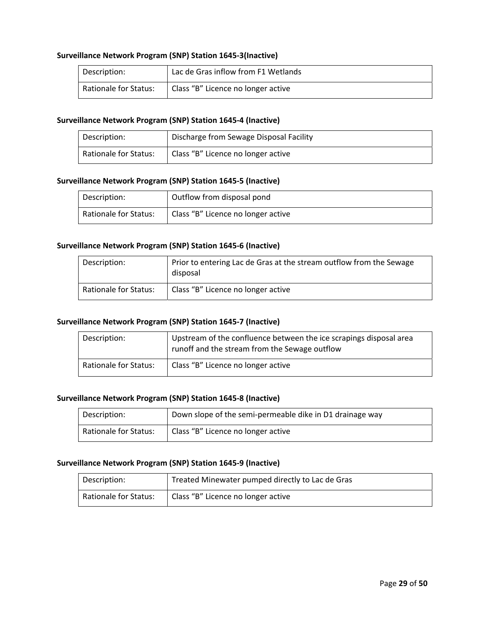#### **Surveillance Network Program (SNP) Station 1645‐3(Inactive)**

| Description:                 | Lac de Gras inflow from F1 Wetlands |
|------------------------------|-------------------------------------|
| <b>Rationale for Status:</b> | Class "B" Licence no longer active  |

#### **Surveillance Network Program (SNP) Station 1645‐4 (Inactive)**

| Description:                 | Discharge from Sewage Disposal Facility |
|------------------------------|-----------------------------------------|
| <b>Rationale for Status:</b> | Class "B" Licence no longer active      |

#### **Surveillance Network Program (SNP) Station 1645‐5 (Inactive)**

| Description:          | Outflow from disposal pond         |
|-----------------------|------------------------------------|
| Rationale for Status: | Class "B" Licence no longer active |

#### **Surveillance Network Program (SNP) Station 1645‐6 (Inactive)**

| Description:                 | Prior to entering Lac de Gras at the stream outflow from the Sewage<br>disposal |
|------------------------------|---------------------------------------------------------------------------------|
| <b>Rationale for Status:</b> | Class "B" Licence no longer active                                              |

#### **Surveillance Network Program (SNP) Station 1645‐7 (Inactive)**

| Description:          | Upstream of the confluence between the ice scrapings disposal area<br>runoff and the stream from the Sewage outflow |
|-----------------------|---------------------------------------------------------------------------------------------------------------------|
| Rationale for Status: | Class "B" Licence no longer active                                                                                  |

#### **Surveillance Network Program (SNP) Station 1645‐8 (Inactive)**

| Description:          | Down slope of the semi-permeable dike in D1 drainage way |  |
|-----------------------|----------------------------------------------------------|--|
| Rationale for Status: | Class "B" Licence no longer active                       |  |

#### **Surveillance Network Program (SNP) Station 1645‐9 (Inactive)**

| Description:                 | Treated Minewater pumped directly to Lac de Gras |
|------------------------------|--------------------------------------------------|
| <b>Rationale for Status:</b> | Class "B" Licence no longer active               |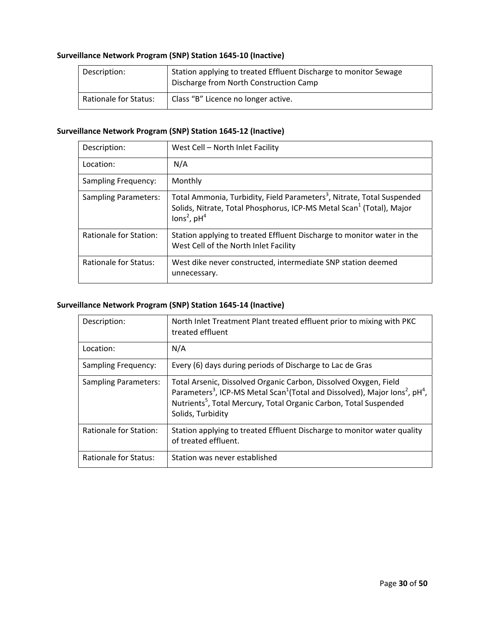# **Surveillance Network Program (SNP) Station 1645‐10 (Inactive)**

| Description:                 | Station applying to treated Effluent Discharge to monitor Sewage<br>Discharge from North Construction Camp |
|------------------------------|------------------------------------------------------------------------------------------------------------|
| <b>Rationale for Status:</b> | Class "B" Licence no longer active.                                                                        |

### **Surveillance Network Program (SNP) Station 1645‐12 (Inactive)**

| Description:                | West Cell - North Inlet Facility                                                                                                                                                                    |
|-----------------------------|-----------------------------------------------------------------------------------------------------------------------------------------------------------------------------------------------------|
| Location:                   | N/A                                                                                                                                                                                                 |
| <b>Sampling Frequency:</b>  | Monthly                                                                                                                                                                                             |
| <b>Sampling Parameters:</b> | Total Ammonia, Turbidity, Field Parameters <sup>3</sup> , Nitrate, Total Suspended<br>Solids, Nitrate, Total Phosphorus, ICP-MS Metal Scan <sup>1</sup> (Total), Major<br>lons <sup>2</sup> , $pH4$ |
| Rationale for Station:      | Station applying to treated Effluent Discharge to monitor water in the<br>West Cell of the North Inlet Facility                                                                                     |
| Rationale for Status:       | West dike never constructed, intermediate SNP station deemed<br>unnecessary.                                                                                                                        |

### **Surveillance Network Program (SNP) Station 1645‐14 (Inactive)**

| Description:                | North Inlet Treatment Plant treated effluent prior to mixing with PKC<br>treated effluent                                                                                                                                                                                                             |
|-----------------------------|-------------------------------------------------------------------------------------------------------------------------------------------------------------------------------------------------------------------------------------------------------------------------------------------------------|
| Location:                   | N/A                                                                                                                                                                                                                                                                                                   |
| <b>Sampling Frequency:</b>  | Every (6) days during periods of Discharge to Lac de Gras                                                                                                                                                                                                                                             |
| <b>Sampling Parameters:</b> | Total Arsenic, Dissolved Organic Carbon, Dissolved Oxygen, Field<br>Parameters <sup>3</sup> , ICP-MS Metal Scan <sup>1</sup> (Total and Dissolved), Major Ions <sup>2</sup> , pH <sup>4</sup> ,<br>Nutrients <sup>5</sup> , Total Mercury, Total Organic Carbon, Total Suspended<br>Solids, Turbidity |
| Rationale for Station:      | Station applying to treated Effluent Discharge to monitor water quality<br>of treated effluent.                                                                                                                                                                                                       |
| Rationale for Status:       | Station was never established                                                                                                                                                                                                                                                                         |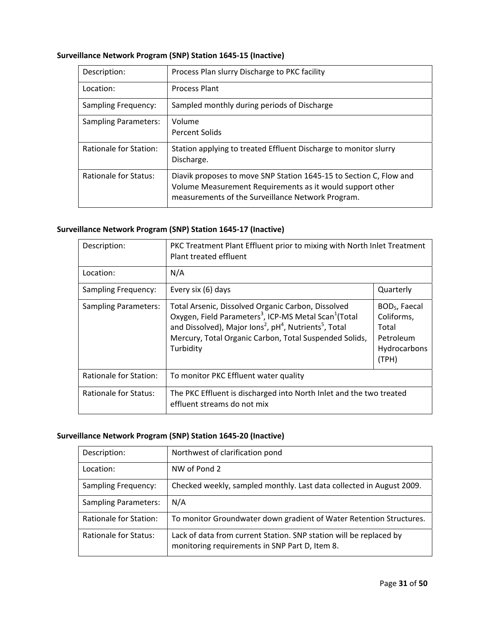| Surveillance Network Program (SNP) Station 1645-15 (Inactive) |  |  |
|---------------------------------------------------------------|--|--|
|---------------------------------------------------------------|--|--|

| Description:                | Process Plan slurry Discharge to PKC facility                                                                                                                                        |
|-----------------------------|--------------------------------------------------------------------------------------------------------------------------------------------------------------------------------------|
| Location:                   | <b>Process Plant</b>                                                                                                                                                                 |
| <b>Sampling Frequency:</b>  | Sampled monthly during periods of Discharge                                                                                                                                          |
| <b>Sampling Parameters:</b> | Volume<br><b>Percent Solids</b>                                                                                                                                                      |
| Rationale for Station:      | Station applying to treated Effluent Discharge to monitor slurry<br>Discharge.                                                                                                       |
| Rationale for Status:       | Diavik proposes to move SNP Station 1645-15 to Section C, Flow and<br>Volume Measurement Requirements as it would support other<br>measurements of the Surveillance Network Program. |

# **Surveillance Network Program (SNP) Station 1645‐17 (Inactive)**

| Description:                  | PKC Treatment Plant Effluent prior to mixing with North Inlet Treatment<br>Plant treated effluent                                                                                                                                                                                                        |                                                                                        |
|-------------------------------|----------------------------------------------------------------------------------------------------------------------------------------------------------------------------------------------------------------------------------------------------------------------------------------------------------|----------------------------------------------------------------------------------------|
| Location:                     | N/A                                                                                                                                                                                                                                                                                                      |                                                                                        |
| Sampling Frequency:           | Every six (6) days                                                                                                                                                                                                                                                                                       | Quarterly                                                                              |
| <b>Sampling Parameters:</b>   | Total Arsenic, Dissolved Organic Carbon, Dissolved<br>Oxygen, Field Parameters <sup>3</sup> , ICP-MS Metal Scan <sup>1</sup> (Total<br>and Dissolved), Major Ions <sup>2</sup> , pH <sup>4</sup> , Nutrients <sup>5</sup> , Total<br>Mercury, Total Organic Carbon, Total Suspended Solids,<br>Turbidity | BOD <sub>5</sub> , Faecal<br>Coliforms,<br>Total<br>Petroleum<br>Hydrocarbons<br>(TPH) |
| <b>Rationale for Station:</b> | To monitor PKC Effluent water quality                                                                                                                                                                                                                                                                    |                                                                                        |
| Rationale for Status:         | The PKC Effluent is discharged into North Inlet and the two treated<br>effluent streams do not mix                                                                                                                                                                                                       |                                                                                        |

# **Surveillance Network Program (SNP) Station 1645‐20 (Inactive)**

| Description:                | Northwest of clarification pond                                                                                      |
|-----------------------------|----------------------------------------------------------------------------------------------------------------------|
| Location:                   | NW of Pond 2                                                                                                         |
| <b>Sampling Frequency:</b>  | Checked weekly, sampled monthly. Last data collected in August 2009.                                                 |
| <b>Sampling Parameters:</b> | N/A                                                                                                                  |
| Rationale for Station:      | To monitor Groundwater down gradient of Water Retention Structures.                                                  |
| Rationale for Status:       | Lack of data from current Station. SNP station will be replaced by<br>monitoring requirements in SNP Part D, Item 8. |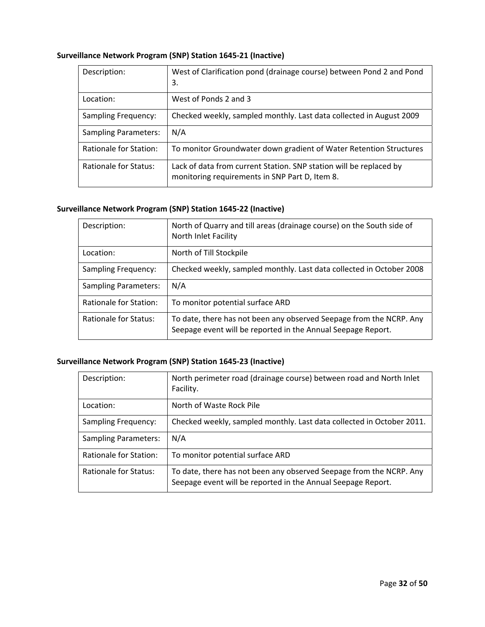# **Surveillance Network Program (SNP) Station 1645‐21 (Inactive)**

| Description:                | West of Clarification pond (drainage course) between Pond 2 and Pond<br>3.                                           |
|-----------------------------|----------------------------------------------------------------------------------------------------------------------|
| Location:                   | West of Ponds 2 and 3                                                                                                |
| <b>Sampling Frequency:</b>  | Checked weekly, sampled monthly. Last data collected in August 2009                                                  |
| <b>Sampling Parameters:</b> | N/A                                                                                                                  |
| Rationale for Station:      | To monitor Groundwater down gradient of Water Retention Structures                                                   |
| Rationale for Status:       | Lack of data from current Station. SNP station will be replaced by<br>monitoring requirements in SNP Part D, Item 8. |

### **Surveillance Network Program (SNP) Station 1645‐22 (Inactive)**

| Description:                | North of Quarry and till areas (drainage course) on the South side of<br>North Inlet Facility                                       |
|-----------------------------|-------------------------------------------------------------------------------------------------------------------------------------|
| Location:                   | North of Till Stockpile                                                                                                             |
| <b>Sampling Frequency:</b>  | Checked weekly, sampled monthly. Last data collected in October 2008                                                                |
| <b>Sampling Parameters:</b> | N/A                                                                                                                                 |
| Rationale for Station:      | To monitor potential surface ARD                                                                                                    |
| Rationale for Status:       | To date, there has not been any observed Seepage from the NCRP. Any<br>Seepage event will be reported in the Annual Seepage Report. |

### **Surveillance Network Program (SNP) Station 1645‐23 (Inactive)**

| Description:                | North perimeter road (drainage course) between road and North Inlet<br>Facility.                                                    |
|-----------------------------|-------------------------------------------------------------------------------------------------------------------------------------|
| Location:                   | North of Waste Rock Pile                                                                                                            |
| <b>Sampling Frequency:</b>  | Checked weekly, sampled monthly. Last data collected in October 2011.                                                               |
| <b>Sampling Parameters:</b> | N/A                                                                                                                                 |
| Rationale for Station:      | To monitor potential surface ARD                                                                                                    |
| Rationale for Status:       | To date, there has not been any observed Seepage from the NCRP. Any<br>Seepage event will be reported in the Annual Seepage Report. |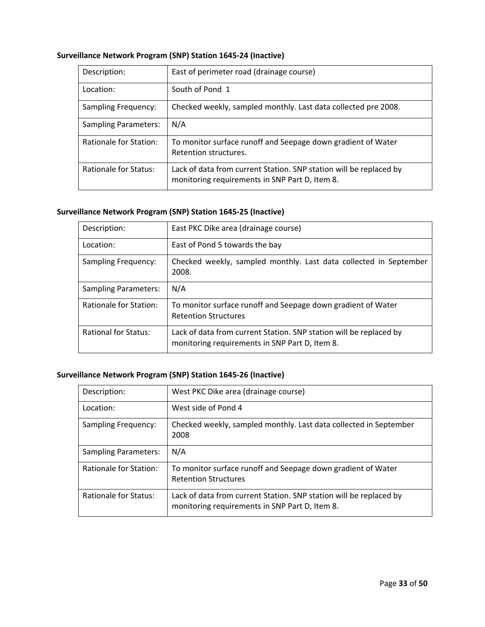# **Surveillance Network Program (SNP) Station 1645‐24 (Inactive)**

| Description:                | East of perimeter road (drainage course)                                                                             |
|-----------------------------|----------------------------------------------------------------------------------------------------------------------|
| Location:                   | South of Pond 1                                                                                                      |
| <b>Sampling Frequency:</b>  | Checked weekly, sampled monthly. Last data collected pre 2008.                                                       |
| <b>Sampling Parameters:</b> | N/A                                                                                                                  |
| Rationale for Station:      | To monitor surface runoff and Seepage down gradient of Water<br>Retention structures.                                |
| Rationale for Status:       | Lack of data from current Station. SNP station will be replaced by<br>monitoring requirements in SNP Part D, Item 8. |

### **Surveillance Network Program (SNP) Station 1645‐25 (Inactive)**

| Description:                | East PKC Dike area (drainage course)                                                                                 |
|-----------------------------|----------------------------------------------------------------------------------------------------------------------|
| Location:                   | East of Pond 5 towards the bay                                                                                       |
| <b>Sampling Frequency:</b>  | Checked weekly, sampled monthly. Last data collected in September<br>2008.                                           |
| <b>Sampling Parameters:</b> | N/A                                                                                                                  |
| Rationale for Station:      | To monitor surface runoff and Seepage down gradient of Water<br><b>Retention Structures</b>                          |
| <b>Rational for Status:</b> | Lack of data from current Station. SNP station will be replaced by<br>monitoring requirements in SNP Part D, Item 8. |

### **Surveillance Network Program (SNP) Station 1645‐26 (Inactive)**

| Description:                | West PKC Dike area (drainage course)                                                                                 |
|-----------------------------|----------------------------------------------------------------------------------------------------------------------|
| Location:                   | West side of Pond 4                                                                                                  |
| <b>Sampling Frequency:</b>  | Checked weekly, sampled monthly. Last data collected in September<br>2008                                            |
| <b>Sampling Parameters:</b> | N/A                                                                                                                  |
| Rationale for Station:      | To monitor surface runoff and Seepage down gradient of Water<br><b>Retention Structures</b>                          |
| Rationale for Status:       | Lack of data from current Station. SNP station will be replaced by<br>monitoring requirements in SNP Part D, Item 8. |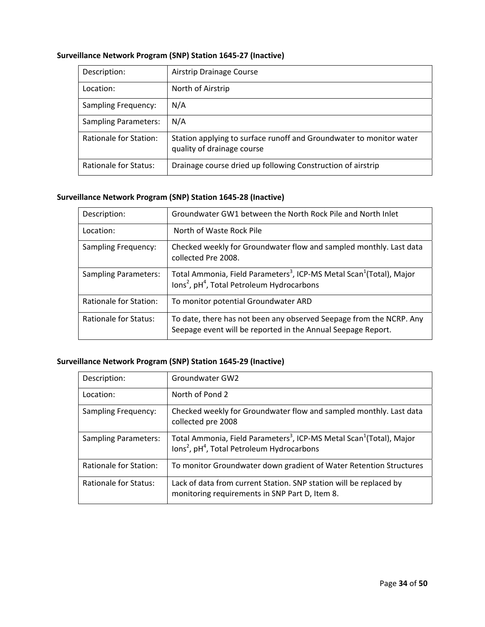| Description:                  | Airstrip Drainage Course                                                                          |
|-------------------------------|---------------------------------------------------------------------------------------------------|
| Location:                     | North of Airstrip                                                                                 |
| <b>Sampling Frequency:</b>    | N/A                                                                                               |
| <b>Sampling Parameters:</b>   | N/A                                                                                               |
| <b>Rationale for Station:</b> | Station applying to surface runoff and Groundwater to monitor water<br>quality of drainage course |
| <b>Rationale for Status:</b>  | Drainage course dried up following Construction of airstrip                                       |

### **Surveillance Network Program (SNP) Station 1645‐27 (Inactive)**

### **Surveillance Network Program (SNP) Station 1645‐28 (Inactive)**

| Description:                | Groundwater GW1 between the North Rock Pile and North Inlet                                                                                                    |
|-----------------------------|----------------------------------------------------------------------------------------------------------------------------------------------------------------|
| Location:                   | North of Waste Rock Pile                                                                                                                                       |
| <b>Sampling Frequency:</b>  | Checked weekly for Groundwater flow and sampled monthly. Last data<br>collected Pre 2008.                                                                      |
| <b>Sampling Parameters:</b> | Total Ammonia, Field Parameters <sup>3</sup> , ICP-MS Metal Scan <sup>1</sup> (Total), Major<br>$\text{Ions}^2$ , $\text{pH}^4$ , Total Petroleum Hydrocarbons |
| Rationale for Station:      | To monitor potential Groundwater ARD                                                                                                                           |
| Rationale for Status:       | To date, there has not been any observed Seepage from the NCRP. Any<br>Seepage event will be reported in the Annual Seepage Report.                            |

### **Surveillance Network Program (SNP) Station 1645‐29 (Inactive)**

| Description:                | Groundwater GW2                                                                                                                                                    |
|-----------------------------|--------------------------------------------------------------------------------------------------------------------------------------------------------------------|
| Location:                   | North of Pond 2                                                                                                                                                    |
| <b>Sampling Frequency:</b>  | Checked weekly for Groundwater flow and sampled monthly. Last data<br>collected pre 2008                                                                           |
| <b>Sampling Parameters:</b> | Total Ammonia, Field Parameters <sup>3</sup> , ICP-MS Metal Scan <sup>1</sup> (Total), Major<br>lons <sup>2</sup> , pH <sup>4</sup> , Total Petroleum Hydrocarbons |
| Rationale for Station:      | To monitor Groundwater down gradient of Water Retention Structures                                                                                                 |
| Rationale for Status:       | Lack of data from current Station. SNP station will be replaced by<br>monitoring requirements in SNP Part D, Item 8.                                               |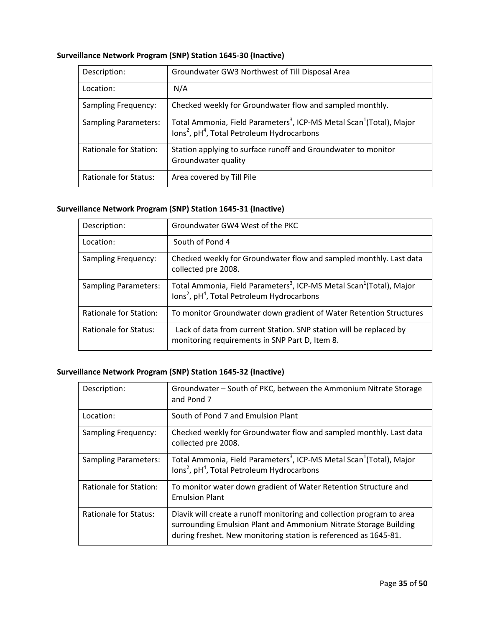### **Surveillance Network Program (SNP) Station 1645‐30 (Inactive)**

| Description:                 | Groundwater GW3 Northwest of Till Disposal Area                                                                                                                    |
|------------------------------|--------------------------------------------------------------------------------------------------------------------------------------------------------------------|
| Location:                    | N/A                                                                                                                                                                |
| <b>Sampling Frequency:</b>   | Checked weekly for Groundwater flow and sampled monthly.                                                                                                           |
| <b>Sampling Parameters:</b>  | Total Ammonia, Field Parameters <sup>3</sup> , ICP-MS Metal Scan <sup>1</sup> (Total), Major<br>lons <sup>2</sup> , pH <sup>4</sup> , Total Petroleum Hydrocarbons |
| Rationale for Station:       | Station applying to surface runoff and Groundwater to monitor<br>Groundwater quality                                                                               |
| <b>Rationale for Status:</b> | Area covered by Till Pile                                                                                                                                          |

### **Surveillance Network Program (SNP) Station 1645‐31 (Inactive)**

| Description:                | Groundwater GW4 West of the PKC                                                                                                                                |
|-----------------------------|----------------------------------------------------------------------------------------------------------------------------------------------------------------|
| Location:                   | South of Pond 4                                                                                                                                                |
| <b>Sampling Frequency:</b>  | Checked weekly for Groundwater flow and sampled monthly. Last data<br>collected pre 2008.                                                                      |
| <b>Sampling Parameters:</b> | Total Ammonia, Field Parameters <sup>3</sup> , ICP-MS Metal Scan <sup>1</sup> (Total), Major<br>$\text{Ions}^2$ , $\text{pH}^4$ , Total Petroleum Hydrocarbons |
| Rationale for Station:      | To monitor Groundwater down gradient of Water Retention Structures                                                                                             |
| Rationale for Status:       | Lack of data from current Station. SNP station will be replaced by<br>monitoring requirements in SNP Part D, Item 8.                                           |

# **Surveillance Network Program (SNP) Station 1645‐32 (Inactive)**

| Description:                | Groundwater - South of PKC, between the Ammonium Nitrate Storage<br>and Pond 7                                                                                                                                |
|-----------------------------|---------------------------------------------------------------------------------------------------------------------------------------------------------------------------------------------------------------|
| Location:                   | South of Pond 7 and Emulsion Plant                                                                                                                                                                            |
| <b>Sampling Frequency:</b>  | Checked weekly for Groundwater flow and sampled monthly. Last data<br>collected pre 2008.                                                                                                                     |
| <b>Sampling Parameters:</b> | Total Ammonia, Field Parameters <sup>3</sup> , ICP-MS Metal Scan <sup>1</sup> (Total), Major<br>$\text{Ions}^2$ , pH <sup>4</sup> , Total Petroleum Hydrocarbons                                              |
| Rationale for Station:      | To monitor water down gradient of Water Retention Structure and<br><b>Emulsion Plant</b>                                                                                                                      |
| Rationale for Status:       | Diavik will create a runoff monitoring and collection program to area<br>surrounding Emulsion Plant and Ammonium Nitrate Storage Building<br>during freshet. New monitoring station is referenced as 1645-81. |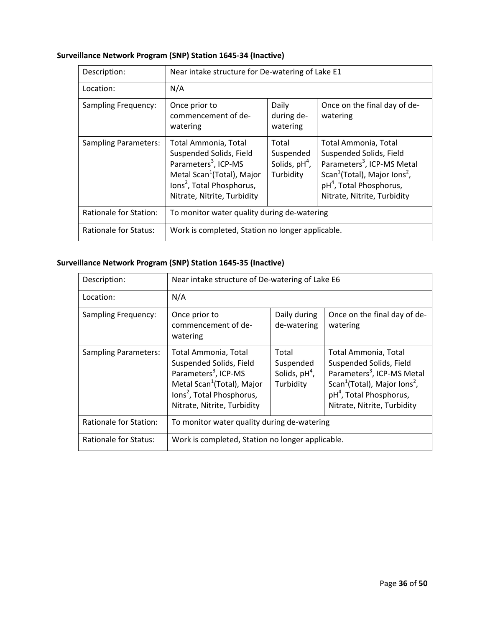# **Surveillance Network Program (SNP) Station 1645‐34 (Inactive)**

| Description:                 | Near intake structure for De-watering of Lake E1                                                                                                                                                      |                                                    |                                                                                                                                                                                                                         |  |
|------------------------------|-------------------------------------------------------------------------------------------------------------------------------------------------------------------------------------------------------|----------------------------------------------------|-------------------------------------------------------------------------------------------------------------------------------------------------------------------------------------------------------------------------|--|
| Location:                    | N/A                                                                                                                                                                                                   |                                                    |                                                                                                                                                                                                                         |  |
| <b>Sampling Frequency:</b>   | Once prior to<br>commencement of de-<br>watering                                                                                                                                                      | Daily<br>during de-<br>watering                    | Once on the final day of de-<br>watering                                                                                                                                                                                |  |
| <b>Sampling Parameters:</b>  | Total Ammonia, Total<br>Suspended Solids, Field<br>Parameters <sup>3</sup> , ICP-MS<br>Metal Scan <sup>1</sup> (Total), Major<br>lons <sup>2</sup> , Total Phosphorus,<br>Nitrate, Nitrite, Turbidity | Total<br>Suspended<br>Solids, $pH4$ ,<br>Turbidity | Total Ammonia, Total<br>Suspended Solids, Field<br>Parameters <sup>3</sup> , ICP-MS Metal<br>Scan <sup>1</sup> (Total), Major Ions <sup>2</sup> ,<br>pH <sup>4</sup> , Total Phosphorus,<br>Nitrate, Nitrite, Turbidity |  |
| Rationale for Station:       | To monitor water quality during de-watering                                                                                                                                                           |                                                    |                                                                                                                                                                                                                         |  |
| <b>Rationale for Status:</b> | Work is completed, Station no longer applicable.                                                                                                                                                      |                                                    |                                                                                                                                                                                                                         |  |

# **Surveillance Network Program (SNP) Station 1645‐35 (Inactive)**

| Description:                | Near intake structure of De-watering of Lake E6                                                                                                                                                       |                                                                         |                                                                                                                                                                                                                         |  |  |
|-----------------------------|-------------------------------------------------------------------------------------------------------------------------------------------------------------------------------------------------------|-------------------------------------------------------------------------|-------------------------------------------------------------------------------------------------------------------------------------------------------------------------------------------------------------------------|--|--|
| Location:                   | N/A                                                                                                                                                                                                   |                                                                         |                                                                                                                                                                                                                         |  |  |
| <b>Sampling Frequency:</b>  | Once prior to<br>commencement of de-<br>watering                                                                                                                                                      | Daily during<br>Once on the final day of de-<br>de-watering<br>watering |                                                                                                                                                                                                                         |  |  |
| <b>Sampling Parameters:</b> | Total Ammonia, Total<br>Suspended Solids, Field<br>Parameters <sup>3</sup> , ICP-MS<br>Metal Scan <sup>1</sup> (Total), Major<br>lons <sup>2</sup> , Total Phosphorus,<br>Nitrate, Nitrite, Turbidity | Total<br>Suspended<br>Solids, $pH4$ ,<br>Turbidity                      | Total Ammonia, Total<br>Suspended Solids, Field<br>Parameters <sup>3</sup> , ICP-MS Metal<br>Scan <sup>1</sup> (Total), Major Ions <sup>2</sup> ,<br>pH <sup>4</sup> , Total Phosphorus,<br>Nitrate, Nitrite, Turbidity |  |  |
| Rationale for Station:      | To monitor water quality during de-watering                                                                                                                                                           |                                                                         |                                                                                                                                                                                                                         |  |  |
| Rationale for Status:       | Work is completed, Station no longer applicable.                                                                                                                                                      |                                                                         |                                                                                                                                                                                                                         |  |  |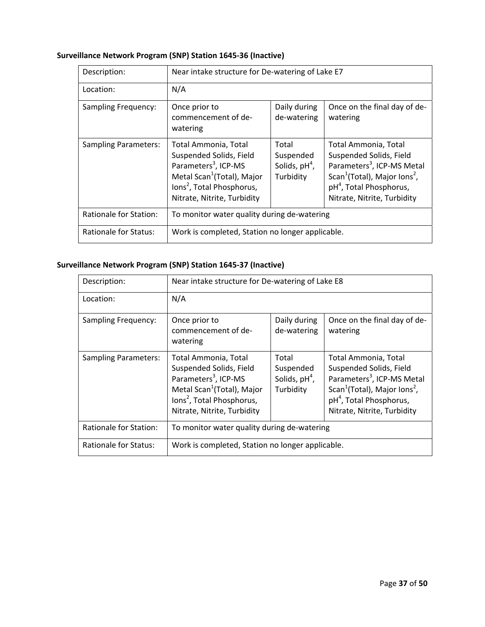# **Surveillance Network Program (SNP) Station 1645‐36 (Inactive)**

| Description:                | Near intake structure for De-watering of Lake E7                                                                                                                                                      |                                                                         |                                                                                                                                                                                                                         |  |  |
|-----------------------------|-------------------------------------------------------------------------------------------------------------------------------------------------------------------------------------------------------|-------------------------------------------------------------------------|-------------------------------------------------------------------------------------------------------------------------------------------------------------------------------------------------------------------------|--|--|
| Location:                   | N/A                                                                                                                                                                                                   |                                                                         |                                                                                                                                                                                                                         |  |  |
| <b>Sampling Frequency:</b>  | Once prior to<br>commencement of de-<br>watering                                                                                                                                                      | Daily during<br>Once on the final day of de-<br>de-watering<br>watering |                                                                                                                                                                                                                         |  |  |
| <b>Sampling Parameters:</b> | Total Ammonia, Total<br>Suspended Solids, Field<br>Parameters <sup>3</sup> , ICP-MS<br>Metal Scan <sup>1</sup> (Total), Major<br>lons <sup>2</sup> , Total Phosphorus,<br>Nitrate, Nitrite, Turbidity | Total<br>Suspended<br>Solids, $pH4$ ,<br>Turbidity                      | Total Ammonia, Total<br>Suspended Solids, Field<br>Parameters <sup>3</sup> , ICP-MS Metal<br>Scan <sup>1</sup> (Total), Major Ions <sup>2</sup> ,<br>pH <sup>4</sup> , Total Phosphorus,<br>Nitrate, Nitrite, Turbidity |  |  |
| Rationale for Station:      | To monitor water quality during de-watering                                                                                                                                                           |                                                                         |                                                                                                                                                                                                                         |  |  |
| Rationale for Status:       | Work is completed, Station no longer applicable.                                                                                                                                                      |                                                                         |                                                                                                                                                                                                                         |  |  |

### **Surveillance Network Program (SNP) Station 1645‐37 (Inactive)**

| Description:                | Near intake structure for De-watering of Lake E8                                                                                                                                                      |                                                    |                                                                                                                                                                                                                         |  |  |
|-----------------------------|-------------------------------------------------------------------------------------------------------------------------------------------------------------------------------------------------------|----------------------------------------------------|-------------------------------------------------------------------------------------------------------------------------------------------------------------------------------------------------------------------------|--|--|
| Location:                   | N/A                                                                                                                                                                                                   |                                                    |                                                                                                                                                                                                                         |  |  |
| <b>Sampling Frequency:</b>  | Daily during<br>Once on the final day of de-<br>Once prior to<br>commencement of de-<br>de-watering<br>watering<br>watering                                                                           |                                                    |                                                                                                                                                                                                                         |  |  |
| <b>Sampling Parameters:</b> | Total Ammonia, Total<br>Suspended Solids, Field<br>Parameters <sup>3</sup> , ICP-MS<br>Metal Scan <sup>1</sup> (Total), Major<br>lons <sup>2</sup> , Total Phosphorus,<br>Nitrate, Nitrite, Turbidity | Total<br>Suspended<br>Solids, $pH4$ ,<br>Turbidity | Total Ammonia, Total<br>Suspended Solids, Field<br>Parameters <sup>3</sup> , ICP-MS Metal<br>Scan <sup>1</sup> (Total), Major Ions <sup>2</sup> ,<br>pH <sup>4</sup> , Total Phosphorus,<br>Nitrate, Nitrite, Turbidity |  |  |
| Rationale for Station:      | To monitor water quality during de-watering                                                                                                                                                           |                                                    |                                                                                                                                                                                                                         |  |  |
| Rationale for Status:       | Work is completed, Station no longer applicable.                                                                                                                                                      |                                                    |                                                                                                                                                                                                                         |  |  |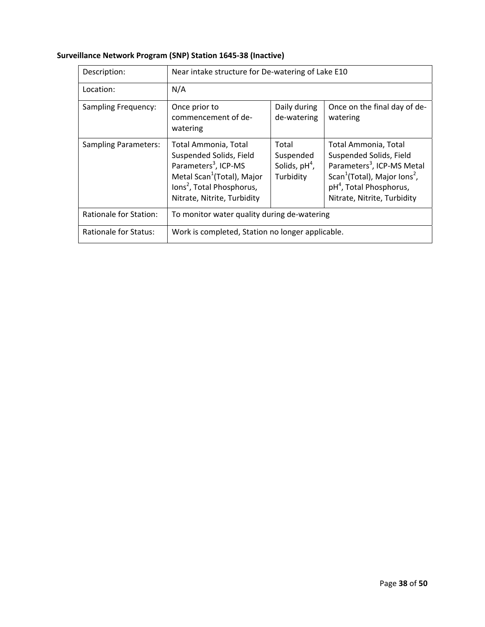|  | Surveillance Network Program (SNP) Station 1645-38 (Inactive) |
|--|---------------------------------------------------------------|
|--|---------------------------------------------------------------|

| Description:                | Near intake structure for De-watering of Lake E10                                                                                                                                                     |                                                    |                                                                                                                                                                                                                         |  |  |
|-----------------------------|-------------------------------------------------------------------------------------------------------------------------------------------------------------------------------------------------------|----------------------------------------------------|-------------------------------------------------------------------------------------------------------------------------------------------------------------------------------------------------------------------------|--|--|
| Location:                   | N/A                                                                                                                                                                                                   |                                                    |                                                                                                                                                                                                                         |  |  |
| Sampling Frequency:         | Daily during<br>Once prior to<br>Once on the final day of de-<br>commencement of de-<br>de-watering<br>watering<br>watering                                                                           |                                                    |                                                                                                                                                                                                                         |  |  |
| <b>Sampling Parameters:</b> | Total Ammonia, Total<br>Suspended Solids, Field<br>Parameters <sup>3</sup> , ICP-MS<br>Metal Scan <sup>1</sup> (Total), Major<br>lons <sup>2</sup> , Total Phosphorus,<br>Nitrate, Nitrite, Turbidity | Total<br>Suspended<br>Solids, $pH4$ ,<br>Turbidity | Total Ammonia, Total<br>Suspended Solids, Field<br>Parameters <sup>3</sup> , ICP-MS Metal<br>Scan <sup>1</sup> (Total), Major Ions <sup>2</sup> ,<br>pH <sup>4</sup> , Total Phosphorus,<br>Nitrate, Nitrite, Turbidity |  |  |
| Rationale for Station:      | To monitor water quality during de-watering                                                                                                                                                           |                                                    |                                                                                                                                                                                                                         |  |  |
| Rationale for Status:       | Work is completed, Station no longer applicable.                                                                                                                                                      |                                                    |                                                                                                                                                                                                                         |  |  |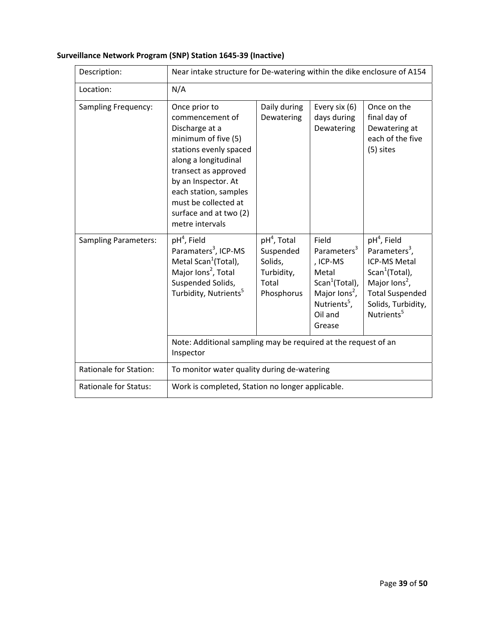| Surveillance Network Program (SNP) Station 1645-39 (Inactive) |  |  |
|---------------------------------------------------------------|--|--|
|---------------------------------------------------------------|--|--|

| Description:                  | Near intake structure for De-watering within the dike enclosure of A154                                                                                                                                                                                                  |                                                                                      |                                                                                                                                                                   |                                                                                                                                                                                                        |
|-------------------------------|--------------------------------------------------------------------------------------------------------------------------------------------------------------------------------------------------------------------------------------------------------------------------|--------------------------------------------------------------------------------------|-------------------------------------------------------------------------------------------------------------------------------------------------------------------|--------------------------------------------------------------------------------------------------------------------------------------------------------------------------------------------------------|
| Location:                     | N/A                                                                                                                                                                                                                                                                      |                                                                                      |                                                                                                                                                                   |                                                                                                                                                                                                        |
| Sampling Frequency:           | Once prior to<br>commencement of<br>Discharge at a<br>minimum of five (5)<br>stations evenly spaced<br>along a longitudinal<br>transect as approved<br>by an Inspector. At<br>each station, samples<br>must be collected at<br>surface and at two (2)<br>metre intervals | Daily during<br>Dewatering                                                           | Every six (6)<br>days during<br>Dewatering                                                                                                                        | Once on the<br>final day of<br>Dewatering at<br>each of the five<br>(5) sites                                                                                                                          |
| <b>Sampling Parameters:</b>   | pH <sup>4</sup> , Field<br>Paramaters <sup>3</sup> , ICP-MS<br>Metal Scan <sup>1</sup> (Total),<br>Major lons <sup>2</sup> , Total<br>Suspended Solids,<br>Turbidity, Nutrients <sup>5</sup>                                                                             | pH <sup>4</sup> , Total<br>Suspended<br>Solids,<br>Turbidity,<br>Total<br>Phosphorus | Field<br>Parameters <sup>3</sup><br>, ICP-MS<br>Metal<br>Scan <sup>1</sup> (Total),<br>Major lons <sup>2</sup> ,<br>Nutrients <sup>5</sup> ,<br>Oil and<br>Grease | $pH4$ , Field<br>Parameters <sup>3</sup> ,<br><b>ICP-MS Metal</b><br>Scan <sup>1</sup> (Total),<br>Major lons <sup>2</sup> ,<br><b>Total Suspended</b><br>Solids, Turbidity,<br>Nutrients <sup>5</sup> |
|                               | Note: Additional sampling may be required at the request of an<br>Inspector                                                                                                                                                                                              |                                                                                      |                                                                                                                                                                   |                                                                                                                                                                                                        |
| <b>Rationale for Station:</b> | To monitor water quality during de-watering                                                                                                                                                                                                                              |                                                                                      |                                                                                                                                                                   |                                                                                                                                                                                                        |
| <b>Rationale for Status:</b>  | Work is completed, Station no longer applicable.                                                                                                                                                                                                                         |                                                                                      |                                                                                                                                                                   |                                                                                                                                                                                                        |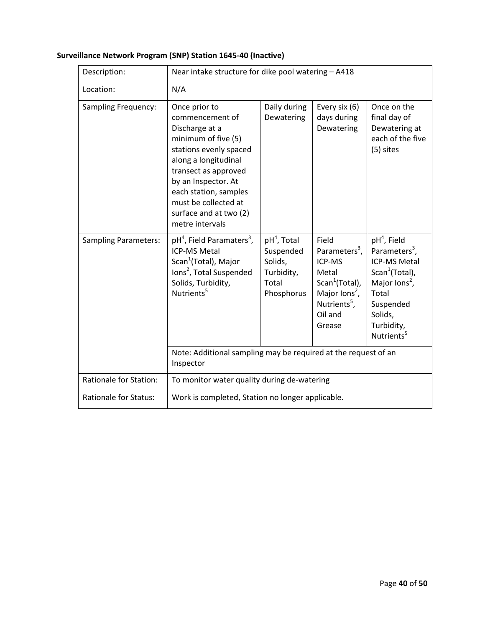| Description:                  | Near intake structure for dike pool watering - A418                                                                                                                                                                                                                                |                                                                                      |                                                                                                                                                                   |                                                                                                                                                                                                       |
|-------------------------------|------------------------------------------------------------------------------------------------------------------------------------------------------------------------------------------------------------------------------------------------------------------------------------|--------------------------------------------------------------------------------------|-------------------------------------------------------------------------------------------------------------------------------------------------------------------|-------------------------------------------------------------------------------------------------------------------------------------------------------------------------------------------------------|
| Location:                     | N/A                                                                                                                                                                                                                                                                                |                                                                                      |                                                                                                                                                                   |                                                                                                                                                                                                       |
| Sampling Frequency:           | Once prior to<br>commencement of<br>Discharge at a<br>minimum of five (5)<br>stations evenly spaced<br>along a longitudinal<br>transect as approved<br>by an Inspector. At<br>each station, samples<br>must be collected at<br>surface and at two (2)<br>metre intervals           | Daily during<br>Dewatering                                                           | Every six (6)<br>days during<br>Dewatering                                                                                                                        | Once on the<br>final day of<br>Dewatering at<br>each of the five<br>(5) sites                                                                                                                         |
| <b>Sampling Parameters:</b>   | pH <sup>4</sup> , Field Paramaters <sup>3</sup> ,<br><b>ICP-MS Metal</b><br>Scan <sup>1</sup> (Total), Major<br>lons <sup>2</sup> , Total Suspended<br>Solids, Turbidity,<br>Nutrients <sup>5</sup><br>Note: Additional sampling may be required at the request of an<br>Inspector | pH <sup>4</sup> , Total<br>Suspended<br>Solids,<br>Turbidity,<br>Total<br>Phosphorus | Field<br>Parameters <sup>3</sup> ,<br>ICP-MS<br>Metal<br>Scan <sup>1</sup> (Total),<br>Major lons <sup>2</sup> ,<br>Nutrients <sup>5</sup> ,<br>Oil and<br>Grease | $pH4$ , Field<br>Parameters <sup>3</sup> ,<br><b>ICP-MS Metal</b><br>Scan <sup>1</sup> (Total),<br>Major lons <sup>2</sup> ,<br>Total<br>Suspended<br>Solids,<br>Turbidity,<br>Nutrients <sup>5</sup> |
| <b>Rationale for Station:</b> | To monitor water quality during de-watering                                                                                                                                                                                                                                        |                                                                                      |                                                                                                                                                                   |                                                                                                                                                                                                       |
| <b>Rationale for Status:</b>  | Work is completed, Station no longer applicable.                                                                                                                                                                                                                                   |                                                                                      |                                                                                                                                                                   |                                                                                                                                                                                                       |

# **Surveillance Network Program (SNP) Station 1645‐40 (Inactive)**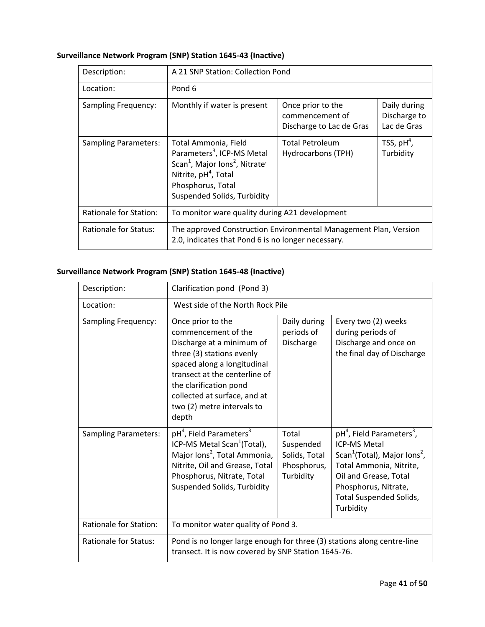# **Surveillance Network Program (SNP) Station 1645‐43 (Inactive)**

| Description:                  | A 21 SNP Station: Collection Pond                                                                                                                                                                               |                                                                  |                                             |
|-------------------------------|-----------------------------------------------------------------------------------------------------------------------------------------------------------------------------------------------------------------|------------------------------------------------------------------|---------------------------------------------|
| Location:                     | Pond 6                                                                                                                                                                                                          |                                                                  |                                             |
| <b>Sampling Frequency:</b>    | Monthly if water is present                                                                                                                                                                                     | Once prior to the<br>commencement of<br>Discharge to Lac de Gras | Daily during<br>Discharge to<br>Lac de Gras |
| <b>Sampling Parameters:</b>   | Total Ammonia, Field<br>Parameters <sup>3</sup> , ICP-MS Metal<br>Scan <sup>1</sup> , Major Ions <sup>2</sup> , Nitrate<br>Nitrite, pH <sup>4</sup> , Total<br>Phosphorus, Total<br>Suspended Solids, Turbidity | <b>Total Petroleum</b><br>Hydrocarbons (TPH)                     | TSS, $pH^4$ ,<br>Turbidity                  |
| <b>Rationale for Station:</b> | To monitor ware quality during A21 development                                                                                                                                                                  |                                                                  |                                             |
| <b>Rationale for Status:</b>  | The approved Construction Environmental Management Plan, Version<br>2.0, indicates that Pond 6 is no longer necessary.                                                                                          |                                                                  |                                             |

# **Surveillance Network Program (SNP) Station 1645‐48 (Inactive)**

| Description:                  | Clarification pond (Pond 3)                                                                                                                                                                                                                                         |                                                                 |                                                                                                                                                                                                                                                             |
|-------------------------------|---------------------------------------------------------------------------------------------------------------------------------------------------------------------------------------------------------------------------------------------------------------------|-----------------------------------------------------------------|-------------------------------------------------------------------------------------------------------------------------------------------------------------------------------------------------------------------------------------------------------------|
| Location:                     | West side of the North Rock Pile                                                                                                                                                                                                                                    |                                                                 |                                                                                                                                                                                                                                                             |
| Sampling Frequency:           | Once prior to the<br>commencement of the<br>Discharge at a minimum of<br>three (3) stations evenly<br>spaced along a longitudinal<br>transect at the centerline of<br>the clarification pond<br>collected at surface, and at<br>two (2) metre intervals to<br>depth | Daily during<br>periods of<br>Discharge                         | Every two (2) weeks<br>during periods of<br>Discharge and once on<br>the final day of Discharge                                                                                                                                                             |
| <b>Sampling Parameters:</b>   | pH <sup>4</sup> , Field Parameters <sup>3</sup><br>ICP-MS Metal Scan <sup>1</sup> (Total),<br>Major Ions <sup>2</sup> , Total Ammonia,<br>Nitrite, Oil and Grease, Total<br>Phosphorus, Nitrate, Total<br>Suspended Solids, Turbidity                               | Total<br>Suspended<br>Solids, Total<br>Phosphorus,<br>Turbidity | pH <sup>4</sup> , Field Parameters <sup>3</sup> ,<br><b>ICP-MS Metal</b><br>Scan <sup>1</sup> (Total), Major Ions <sup>2</sup> ,<br>Total Ammonia, Nitrite,<br>Oil and Grease, Total<br>Phosphorus, Nitrate,<br><b>Total Suspended Solids,</b><br>Turbidity |
| <b>Rationale for Station:</b> | To monitor water quality of Pond 3.                                                                                                                                                                                                                                 |                                                                 |                                                                                                                                                                                                                                                             |
| <b>Rationale for Status:</b>  | Pond is no longer large enough for three (3) stations along centre-line<br>transect. It is now covered by SNP Station 1645-76.                                                                                                                                      |                                                                 |                                                                                                                                                                                                                                                             |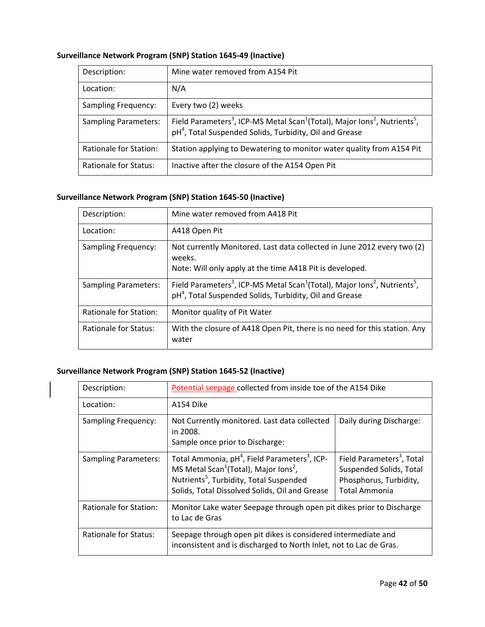| Description:                 | Mine water removed from A154 Pit                                                                                                                                                                  |
|------------------------------|---------------------------------------------------------------------------------------------------------------------------------------------------------------------------------------------------|
| Location:                    | N/A                                                                                                                                                                                               |
| <b>Sampling Frequency:</b>   | Every two (2) weeks                                                                                                                                                                               |
| <b>Sampling Parameters:</b>  | Field Parameters <sup>3</sup> , ICP-MS Metal Scan <sup>1</sup> (Total), Major Ions <sup>2</sup> , Nutrients <sup>5</sup> ,<br>pH <sup>4</sup> , Total Suspended Solids, Turbidity, Oil and Grease |
| Rationale for Station:       | Station applying to Dewatering to monitor water quality from A154 Pit                                                                                                                             |
| <b>Rationale for Status:</b> | Inactive after the closure of the A154 Open Pit                                                                                                                                                   |

# **Surveillance Network Program (SNP) Station 1645‐49 (Inactive)**

### **Surveillance Network Program (SNP) Station 1645‐50 (Inactive)**

| Description:                 | Mine water removed from A418 Pit                                                                                                                                                                  |
|------------------------------|---------------------------------------------------------------------------------------------------------------------------------------------------------------------------------------------------|
| Location:                    | A418 Open Pit                                                                                                                                                                                     |
| <b>Sampling Frequency:</b>   | Not currently Monitored. Last data collected in June 2012 every two (2)<br>weeks.<br>Note: Will only apply at the time A418 Pit is developed.                                                     |
| <b>Sampling Parameters:</b>  | Field Parameters <sup>3</sup> , ICP-MS Metal Scan <sup>1</sup> (Total), Major Ions <sup>2</sup> , Nutrients <sup>5</sup> ,<br>pH <sup>4</sup> , Total Suspended Solids, Turbidity, Oil and Grease |
| Rationale for Station:       | Monitor quality of Pit Water                                                                                                                                                                      |
| <b>Rationale for Status:</b> | With the closure of A418 Open Pit, there is no need for this station. Any<br>water                                                                                                                |

### **Surveillance Network Program (SNP) Station 1645‐52 (Inactive)**

| Description:                | Potential seepage collected from inside toe of the A154 Dike                                                                                                                                                                                    |                                                                                                                    |
|-----------------------------|-------------------------------------------------------------------------------------------------------------------------------------------------------------------------------------------------------------------------------------------------|--------------------------------------------------------------------------------------------------------------------|
| Location:                   | A154 Dike                                                                                                                                                                                                                                       |                                                                                                                    |
| <b>Sampling Frequency:</b>  | Not Currently monitored. Last data collected<br>in 2008.<br>Sample once prior to Discharge:                                                                                                                                                     | Daily during Discharge:                                                                                            |
| <b>Sampling Parameters:</b> | Total Ammonia, pH <sup>4</sup> , Field Parameters <sup>3</sup> , ICP-<br>MS Metal Scan <sup>1</sup> (Total), Major Ions <sup>2</sup> ,<br>Nutrients <sup>5</sup> , Turbidity, Total Suspended<br>Solids, Total Dissolved Solids, Oil and Grease | Field Parameters <sup>3</sup> , Total<br>Suspended Solids, Total<br>Phosphorus, Turbidity,<br><b>Total Ammonia</b> |
| Rationale for Station:      | Monitor Lake water Seepage through open pit dikes prior to Discharge<br>to Lac de Gras                                                                                                                                                          |                                                                                                                    |
| Rationale for Status:       | Seepage through open pit dikes is considered intermediate and<br>inconsistent and is discharged to North Inlet, not to Lac de Gras.                                                                                                             |                                                                                                                    |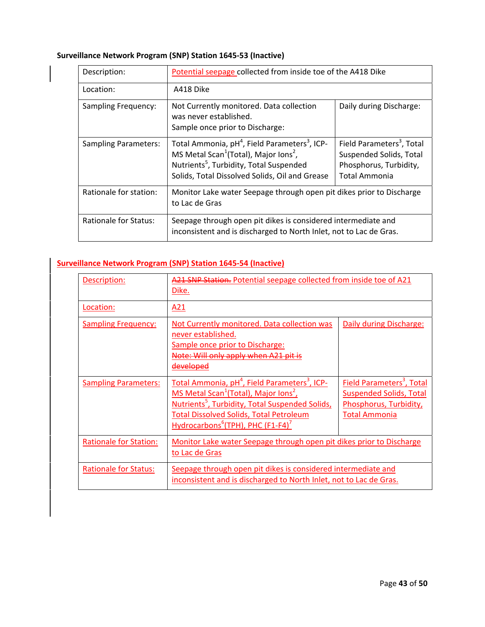# **Surveillance Network Program (SNP) Station 1645‐53 (Inactive)**

| Description:                | Potential seepage collected from inside toe of the A418 Dike                                                                                                                                                                                    |                                                                                                             |
|-----------------------------|-------------------------------------------------------------------------------------------------------------------------------------------------------------------------------------------------------------------------------------------------|-------------------------------------------------------------------------------------------------------------|
| Location:                   | A418 Dike                                                                                                                                                                                                                                       |                                                                                                             |
| <b>Sampling Frequency:</b>  | Not Currently monitored. Data collection<br>was never established.<br>Sample once prior to Discharge:                                                                                                                                           | Daily during Discharge:                                                                                     |
| <b>Sampling Parameters:</b> | Total Ammonia, pH <sup>4</sup> , Field Parameters <sup>3</sup> , ICP-<br>MS Metal Scan <sup>1</sup> (Total), Major Ions <sup>2</sup> ,<br>Nutrients <sup>5</sup> , Turbidity, Total Suspended<br>Solids, Total Dissolved Solids, Oil and Grease | Field Parameters <sup>3</sup> , Total<br>Suspended Solids, Total<br>Phosphorus, Turbidity,<br>Total Ammonia |
| Rationale for station:      | Monitor Lake water Seepage through open pit dikes prior to Discharge<br>to Lac de Gras                                                                                                                                                          |                                                                                                             |
| Rationale for Status:       | Seepage through open pit dikes is considered intermediate and<br>inconsistent and is discharged to North Inlet, not to Lac de Gras.                                                                                                             |                                                                                                             |

# **Surveillance Network Program (SNP) Station 1645‐54 (Inactive)**

| Description:                  | A21 SNP Station. Potential seepage collected from inside toe of A21<br>Dike.                                                                                                                                                                                                                                         |                                                                                                                           |
|-------------------------------|----------------------------------------------------------------------------------------------------------------------------------------------------------------------------------------------------------------------------------------------------------------------------------------------------------------------|---------------------------------------------------------------------------------------------------------------------------|
| Location:                     | A21                                                                                                                                                                                                                                                                                                                  |                                                                                                                           |
| <b>Sampling Frequency:</b>    | Not Currently monitored. Data collection was<br>never established.<br>Sample once prior to Discharge:<br>Note: Will only apply when A21 pit is<br>developed                                                                                                                                                          | Daily during Discharge:                                                                                                   |
| <b>Sampling Parameters:</b>   | Total Ammonia, pH <sup>4</sup> , Field Parameters <sup>3</sup> , ICP-<br>MS Metal Scan <sup>1</sup> (Total), Major Ions <sup>2</sup> ,<br>Nutrients <sup>5</sup> , Turbidity, Total Suspended Solids,<br><b>Total Dissolved Solids, Total Petroleum</b><br>Hydrocarbons <sup>6</sup> (TPH), PHC (F1-F4) <sup>7</sup> | Field Parameters <sup>3</sup> , Total<br><b>Suspended Solids, Total</b><br>Phosphorus, Turbidity,<br><b>Total Ammonia</b> |
| <b>Rationale for Station:</b> | Monitor Lake water Seepage through open pit dikes prior to Discharge<br>to Lac de Gras                                                                                                                                                                                                                               |                                                                                                                           |
| <b>Rationale for Status:</b>  | Seepage through open pit dikes is considered intermediate and<br>inconsistent and is discharged to North Inlet, not to Lac de Gras.                                                                                                                                                                                  |                                                                                                                           |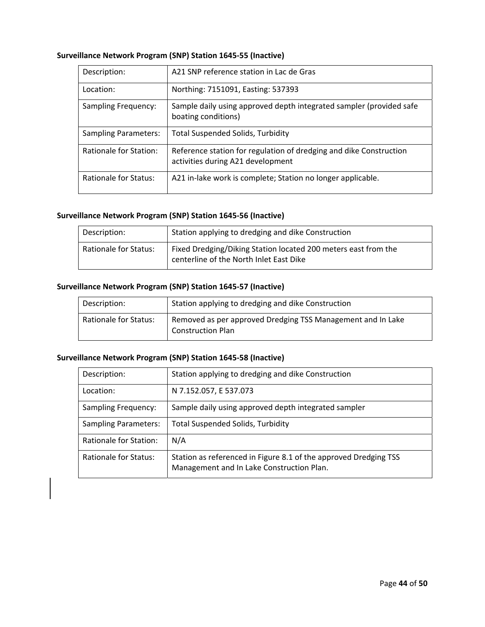| Surveillance Network Program (SNP) Station 1645-55 (Inactive) |  |  |
|---------------------------------------------------------------|--|--|
|---------------------------------------------------------------|--|--|

| Description:                | A21 SNP reference station in Lac de Gras                                                                |
|-----------------------------|---------------------------------------------------------------------------------------------------------|
| Location:                   | Northing: 7151091, Easting: 537393                                                                      |
| <b>Sampling Frequency:</b>  | Sample daily using approved depth integrated sampler (provided safe<br>boating conditions)              |
| <b>Sampling Parameters:</b> | <b>Total Suspended Solids, Turbidity</b>                                                                |
| Rationale for Station:      | Reference station for regulation of dredging and dike Construction<br>activities during A21 development |
| Rationale for Status:       | A21 in-lake work is complete; Station no longer applicable.                                             |

#### **Surveillance Network Program (SNP) Station 1645‐56 (Inactive)**

| Description:          | Station applying to dredging and dike Construction                                                        |
|-----------------------|-----------------------------------------------------------------------------------------------------------|
| Rationale for Status: | Fixed Dredging/Diking Station located 200 meters east from the<br>centerline of the North Inlet East Dike |

### **Surveillance Network Program (SNP) Station 1645‐57 (Inactive)**

| Description:                 | Station applying to dredging and dike Construction                                      |
|------------------------------|-----------------------------------------------------------------------------------------|
| <b>Rationale for Status:</b> | Removed as per approved Dredging TSS Management and In Lake<br><b>Construction Plan</b> |

### **Surveillance Network Program (SNP) Station 1645‐58 (Inactive)**

| Description:                | Station applying to dredging and dike Construction                                                            |
|-----------------------------|---------------------------------------------------------------------------------------------------------------|
| Location:                   | N 7.152.057, E 537.073                                                                                        |
| <b>Sampling Frequency:</b>  | Sample daily using approved depth integrated sampler                                                          |
| <b>Sampling Parameters:</b> | <b>Total Suspended Solids, Turbidity</b>                                                                      |
| Rationale for Station:      | N/A                                                                                                           |
| Rationale for Status:       | Station as referenced in Figure 8.1 of the approved Dredging TSS<br>Management and In Lake Construction Plan. |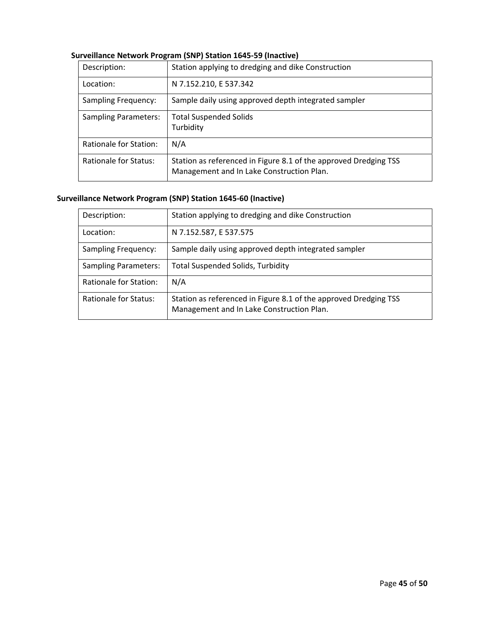| Description:                 | Station applying to dredging and dike Construction                                                            |
|------------------------------|---------------------------------------------------------------------------------------------------------------|
| Location:                    | N 7.152.210, E 537.342                                                                                        |
| <b>Sampling Frequency:</b>   | Sample daily using approved depth integrated sampler                                                          |
| <b>Sampling Parameters:</b>  | <b>Total Suspended Solids</b><br>Turbidity                                                                    |
| Rationale for Station:       | N/A                                                                                                           |
| <b>Rationale for Status:</b> | Station as referenced in Figure 8.1 of the approved Dredging TSS<br>Management and In Lake Construction Plan. |

### **Surveillance Network Program (SNP) Station 1645‐59 (Inactive)**

# **Surveillance Network Program (SNP) Station 1645‐60 (Inactive)**

| Description:                  | Station applying to dredging and dike Construction                                                            |
|-------------------------------|---------------------------------------------------------------------------------------------------------------|
| Location:                     | N 7.152.587, E 537.575                                                                                        |
| <b>Sampling Frequency:</b>    | Sample daily using approved depth integrated sampler                                                          |
| <b>Sampling Parameters:</b>   | <b>Total Suspended Solids, Turbidity</b>                                                                      |
| <b>Rationale for Station:</b> | N/A                                                                                                           |
| Rationale for Status:         | Station as referenced in Figure 8.1 of the approved Dredging TSS<br>Management and In Lake Construction Plan. |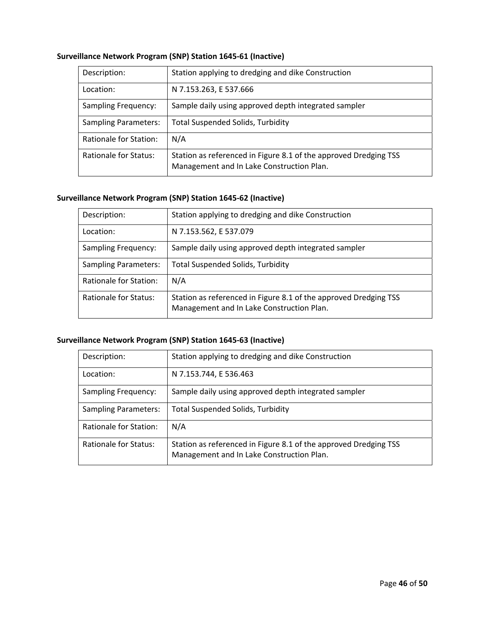| Surveillance Network Program (SNP) Station 1645-61 (Inactive) |  |  |
|---------------------------------------------------------------|--|--|
|---------------------------------------------------------------|--|--|

| Description:                | Station applying to dredging and dike Construction                                                            |
|-----------------------------|---------------------------------------------------------------------------------------------------------------|
| Location:                   | N 7.153.263, E 537.666                                                                                        |
| <b>Sampling Frequency:</b>  | Sample daily using approved depth integrated sampler                                                          |
| <b>Sampling Parameters:</b> | <b>Total Suspended Solids, Turbidity</b>                                                                      |
| Rationale for Station:      | N/A                                                                                                           |
| Rationale for Status:       | Station as referenced in Figure 8.1 of the approved Dredging TSS<br>Management and In Lake Construction Plan. |

# **Surveillance Network Program (SNP) Station 1645‐62 (Inactive)**

| Description:                | Station applying to dredging and dike Construction                                                            |
|-----------------------------|---------------------------------------------------------------------------------------------------------------|
| Location:                   | N 7.153.562, E 537.079                                                                                        |
| <b>Sampling Frequency:</b>  | Sample daily using approved depth integrated sampler                                                          |
| <b>Sampling Parameters:</b> | <b>Total Suspended Solids, Turbidity</b>                                                                      |
| Rationale for Station:      | N/A                                                                                                           |
| Rationale for Status:       | Station as referenced in Figure 8.1 of the approved Dredging TSS<br>Management and In Lake Construction Plan. |

# **Surveillance Network Program (SNP) Station 1645‐63 (Inactive)**

| Description:                | Station applying to dredging and dike Construction                                                            |
|-----------------------------|---------------------------------------------------------------------------------------------------------------|
| Location:                   | N 7.153.744, E 536.463                                                                                        |
| <b>Sampling Frequency:</b>  | Sample daily using approved depth integrated sampler                                                          |
| <b>Sampling Parameters:</b> | <b>Total Suspended Solids, Turbidity</b>                                                                      |
| Rationale for Station:      | N/A                                                                                                           |
| Rationale for Status:       | Station as referenced in Figure 8.1 of the approved Dredging TSS<br>Management and In Lake Construction Plan. |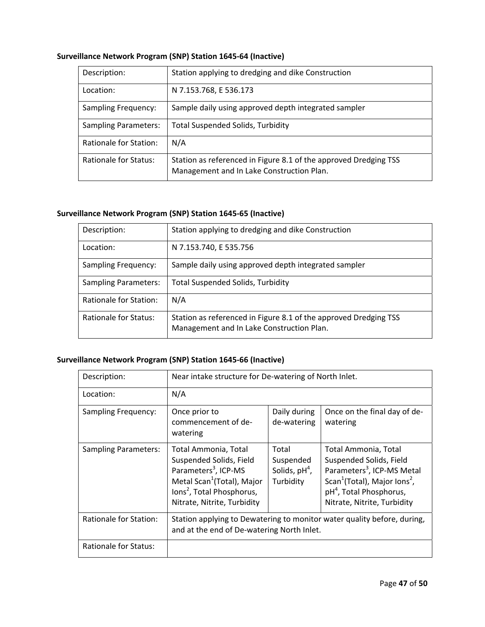### **Surveillance Network Program (SNP) Station 1645‐64 (Inactive)**

| Description:                | Station applying to dredging and dike Construction                                                            |
|-----------------------------|---------------------------------------------------------------------------------------------------------------|
| Location:                   | N 7.153.768, E 536.173                                                                                        |
| <b>Sampling Frequency:</b>  | Sample daily using approved depth integrated sampler                                                          |
| <b>Sampling Parameters:</b> | <b>Total Suspended Solids, Turbidity</b>                                                                      |
| Rationale for Station:      | N/A                                                                                                           |
| Rationale for Status:       | Station as referenced in Figure 8.1 of the approved Dredging TSS<br>Management and In Lake Construction Plan. |

### **Surveillance Network Program (SNP) Station 1645‐65 (Inactive)**

| Description:                | Station applying to dredging and dike Construction                                                            |
|-----------------------------|---------------------------------------------------------------------------------------------------------------|
| Location:                   | N 7.153.740, E 535.756                                                                                        |
| <b>Sampling Frequency:</b>  | Sample daily using approved depth integrated sampler                                                          |
| <b>Sampling Parameters:</b> | <b>Total Suspended Solids, Turbidity</b>                                                                      |
| Rationale for Station:      | N/A                                                                                                           |
| Rationale for Status:       | Station as referenced in Figure 8.1 of the approved Dredging TSS<br>Management and In Lake Construction Plan. |

### **Surveillance Network Program (SNP) Station 1645‐66 (Inactive)**

| Description:                  | Near intake structure for De-watering of North Inlet.                                                                                                                                                 |                                                    |                                                                                                                                                                                                                         |
|-------------------------------|-------------------------------------------------------------------------------------------------------------------------------------------------------------------------------------------------------|----------------------------------------------------|-------------------------------------------------------------------------------------------------------------------------------------------------------------------------------------------------------------------------|
| Location:                     | N/A                                                                                                                                                                                                   |                                                    |                                                                                                                                                                                                                         |
| Sampling Frequency:           | Once prior to<br>commencement of de-<br>watering                                                                                                                                                      | Daily during<br>de-watering                        | Once on the final day of de-<br>watering                                                                                                                                                                                |
| <b>Sampling Parameters:</b>   | Total Ammonia, Total<br>Suspended Solids, Field<br>Parameters <sup>3</sup> , ICP-MS<br>Metal Scan <sup>1</sup> (Total), Major<br>lons <sup>2</sup> , Total Phosphorus,<br>Nitrate, Nitrite, Turbidity | Total<br>Suspended<br>Solids, $pH4$ ,<br>Turbidity | Total Ammonia, Total<br>Suspended Solids, Field<br>Parameters <sup>3</sup> , ICP-MS Metal<br>Scan <sup>1</sup> (Total), Major Ions <sup>2</sup> ,<br>pH <sup>4</sup> , Total Phosphorus,<br>Nitrate, Nitrite, Turbidity |
| <b>Rationale for Station:</b> | Station applying to Dewatering to monitor water quality before, during,<br>and at the end of De-watering North Inlet.                                                                                 |                                                    |                                                                                                                                                                                                                         |
| Rationale for Status:         |                                                                                                                                                                                                       |                                                    |                                                                                                                                                                                                                         |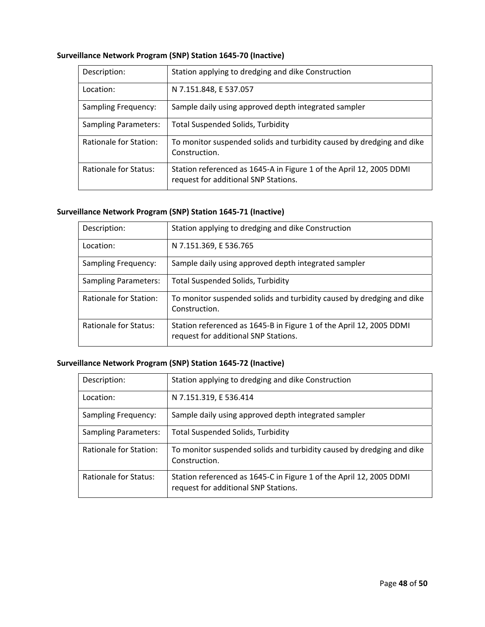### **Surveillance Network Program (SNP) Station 1645‐70 (Inactive)**

| Description:                | Station applying to dredging and dike Construction                                                          |
|-----------------------------|-------------------------------------------------------------------------------------------------------------|
| Location:                   | N 7.151.848, E 537.057                                                                                      |
| <b>Sampling Frequency:</b>  | Sample daily using approved depth integrated sampler                                                        |
| <b>Sampling Parameters:</b> | <b>Total Suspended Solids, Turbidity</b>                                                                    |
| Rationale for Station:      | To monitor suspended solids and turbidity caused by dredging and dike<br>Construction.                      |
| Rationale for Status:       | Station referenced as 1645-A in Figure 1 of the April 12, 2005 DDMI<br>request for additional SNP Stations. |

### **Surveillance Network Program (SNP) Station 1645‐71 (Inactive)**

| Description:                  | Station applying to dredging and dike Construction                                                          |
|-------------------------------|-------------------------------------------------------------------------------------------------------------|
| Location:                     | N 7.151.369, E 536.765                                                                                      |
| <b>Sampling Frequency:</b>    | Sample daily using approved depth integrated sampler                                                        |
| <b>Sampling Parameters:</b>   | <b>Total Suspended Solids, Turbidity</b>                                                                    |
| <b>Rationale for Station:</b> | To monitor suspended solids and turbidity caused by dredging and dike<br>Construction.                      |
| Rationale for Status:         | Station referenced as 1645-B in Figure 1 of the April 12, 2005 DDMI<br>request for additional SNP Stations. |

### **Surveillance Network Program (SNP) Station 1645‐72 (Inactive)**

| Description:                | Station applying to dredging and dike Construction                                                          |
|-----------------------------|-------------------------------------------------------------------------------------------------------------|
| Location:                   | N 7.151.319, E 536.414                                                                                      |
| <b>Sampling Frequency:</b>  | Sample daily using approved depth integrated sampler                                                        |
| <b>Sampling Parameters:</b> | <b>Total Suspended Solids, Turbidity</b>                                                                    |
| Rationale for Station:      | To monitor suspended solids and turbidity caused by dredging and dike<br>Construction.                      |
| Rationale for Status:       | Station referenced as 1645-C in Figure 1 of the April 12, 2005 DDMI<br>request for additional SNP Stations. |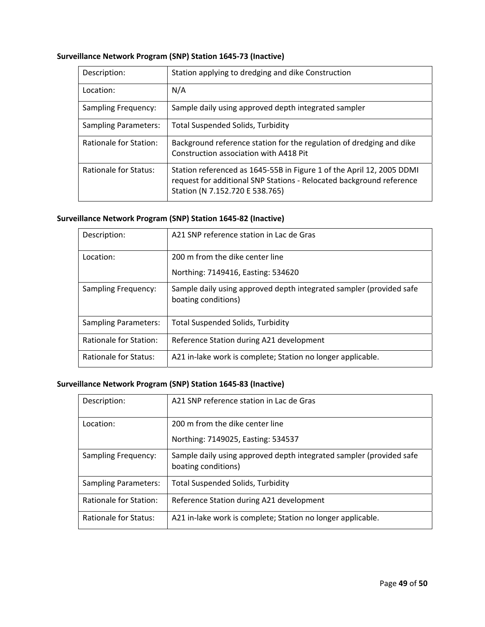### **Surveillance Network Program (SNP) Station 1645‐73 (Inactive)**

| Description:                | Station applying to dredging and dike Construction                                                                                                                               |
|-----------------------------|----------------------------------------------------------------------------------------------------------------------------------------------------------------------------------|
| Location:                   | N/A                                                                                                                                                                              |
| <b>Sampling Frequency:</b>  | Sample daily using approved depth integrated sampler                                                                                                                             |
| <b>Sampling Parameters:</b> | <b>Total Suspended Solids, Turbidity</b>                                                                                                                                         |
| Rationale for Station:      | Background reference station for the regulation of dredging and dike<br>Construction association with A418 Pit                                                                   |
| Rationale for Status:       | Station referenced as 1645-55B in Figure 1 of the April 12, 2005 DDMI<br>request for additional SNP Stations - Relocated background reference<br>Station (N 7.152.720 E 538.765) |

### **Surveillance Network Program (SNP) Station 1645‐82 (Inactive)**

| Description:                | A21 SNP reference station in Lac de Gras                                                   |
|-----------------------------|--------------------------------------------------------------------------------------------|
| Location:                   | 200 m from the dike center line                                                            |
|                             | Northing: 7149416, Easting: 534620                                                         |
| <b>Sampling Frequency:</b>  | Sample daily using approved depth integrated sampler (provided safe<br>boating conditions) |
| <b>Sampling Parameters:</b> | <b>Total Suspended Solids, Turbidity</b>                                                   |
| Rationale for Station:      | Reference Station during A21 development                                                   |
| Rationale for Status:       | A21 in-lake work is complete; Station no longer applicable.                                |

# **Surveillance Network Program (SNP) Station 1645‐83 (Inactive)**

| Description:                | A21 SNP reference station in Lac de Gras                                                   |
|-----------------------------|--------------------------------------------------------------------------------------------|
| Location:                   | 200 m from the dike center line                                                            |
|                             | Northing: 7149025, Easting: 534537                                                         |
| <b>Sampling Frequency:</b>  | Sample daily using approved depth integrated sampler (provided safe<br>boating conditions) |
| <b>Sampling Parameters:</b> | <b>Total Suspended Solids, Turbidity</b>                                                   |
| Rationale for Station:      | Reference Station during A21 development                                                   |
| Rationale for Status:       | A21 in-lake work is complete; Station no longer applicable.                                |